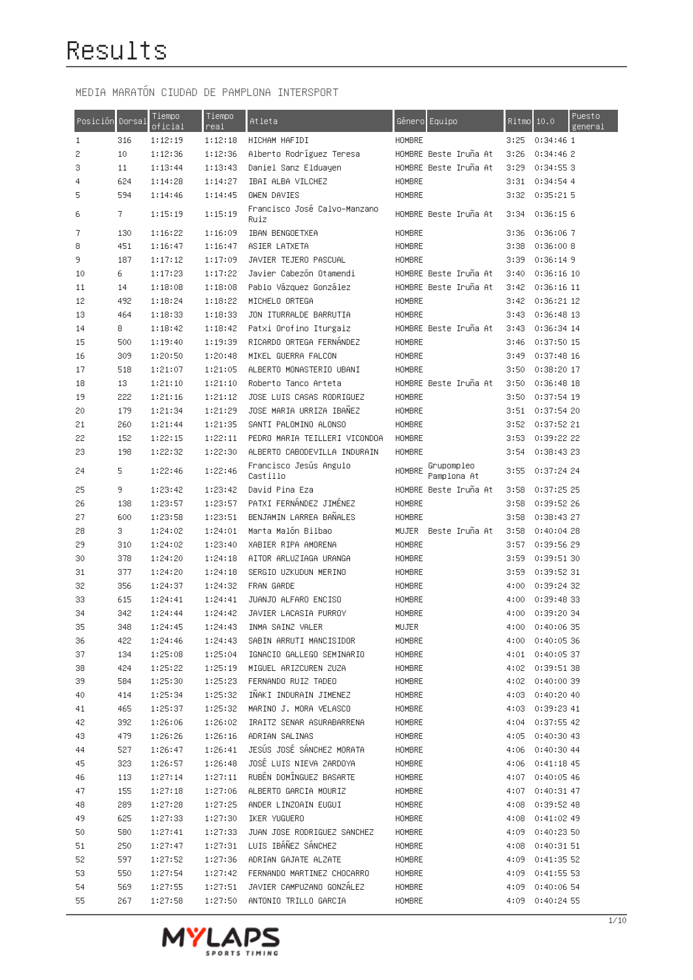| Posición | Dorsal     | Tiempo<br>oficial  | Tiempo<br>real     | Atleta                                                        | Género Equ <u>ipo</u>    | Ritmo        | 10.0                     | Puesto<br>general |
|----------|------------|--------------------|--------------------|---------------------------------------------------------------|--------------------------|--------------|--------------------------|-------------------|
| 1        | 316        | 1:12:19            | 1:12:18            | HICHAM HAFIDI                                                 | HOMBRE                   | 3:25         | 0:34:461                 |                   |
| 2        | 10         | 1:12:36            | 1:12:36            | Alberto Rodríguez Teresa                                      | HOMBRE Beste Iruña At    | 3:26         | 0:34:46 2                |                   |
| 3        | 11         | 1:13:44            | 1:13:43            | Daniel Sanz Elduayen                                          | HOMBRE Beste Iruña At    | 3:29         | 0:34:55 3                |                   |
| 4        | 624        | 1:14:28            | 1:14:27            | IBAI ALBA VILCHEZ                                             | HOMBRE                   | 3:31         | 0:34:54.4                |                   |
| 5        | 594        | 1:14:46            | 1:14:45            | OWEN DAVIES                                                   | HOMBRE                   | 3:32         | 0:35:21 5                |                   |
| 6        | 7.         | 1:15:19            | 1:15:19            | Francisco José Calvo–Manzano<br>Ruiz                          | HOMBRE Beste Iruña At    | 3:34         | 0:36:156                 |                   |
| 7        | 130        | 1:16:22            | 1:16:09            | IBAN BENGOETXEA                                               | HOMBRE                   | 3:36         | 0:36:067                 |                   |
| 8        | 451        | 1:16:47            | 1:16:47            | ASIER LATXETA                                                 | HOMBRE                   | 3:38         | 0:36:008                 |                   |
| 9        | 187        | 1:17:12            | 1:17:09            | JAVIER TEJERO PASCUAL                                         | <b>HOMBRE</b>            | 3:39         | 0:36:149                 |                   |
| 10       | 6          | 1:17:23            | 1:17:22            | Javier Cabezón Otamendi                                       | HOMBRE Beste Iruña At    | 3:40         | $0:36:16$ 10             |                   |
| 11       | 14         | 1:18:08            | 1:18:08            | Pablo Vázquez González                                        | HOMBRE Beste Iruña At    | 3:42         | $0:36:16$ 11             |                   |
| 12       | 492        | 1:18:24            | 1:18:22            | MICHELO ORTEGA                                                | HOMBRE                   | 3:42         | 0:36:21 12               |                   |
| 13       | 464        | 1:18:33            | 1:18:33            | JON ITURRALDE BARRUTIA                                        | HOMBRE                   | 3:43         | $0:36:48$ 13             |                   |
| 14       | 8.         | 1:18:42            | 1:18:42            | Patxi Orofino Iturgaiz                                        | HOMBRE Beste Iruña At    | 3:43         | 0:36:34 14               |                   |
| 15       | 500        | 1:19:40            | 1:19:39            | RICARDO ORTEGA FERNANDEZ                                      | HOMBRE                   | 3:46         | 0:37:50 15               |                   |
| 16       | 309        | 1:20:50            | 1:20:48            | MIKEL GUERRA FALCON                                           | HOMBRE                   | 3:49         | $0:37:48$ 16             |                   |
| 17       | 518        | 1:21:07            | 1:21:05            | ALBERTO MONASTERIO UBANI                                      | HOMBRE                   | 3:50         | 0:38:20 17               |                   |
| 18       | 13         | 1:21:10            | 1:21:10            | Roberto Tanco Arteta                                          | HOMBRE Beste Iruña At    | 3:50         | $0:36:48$ 18             |                   |
| 19       | 222        | 1:21:16            | 1:21:12            | JOSE LUIS CASAS RODRIGUEZ                                     | HOMBRE                   | 3:50         | $0:37:54$ 19             |                   |
| 20       | 179        | 1:21:34            | 1:21:29            | JOSE MARIA URRIZA IBAÑEZ                                      | HOMBRE                   | 3:51         | 0:37:54 20               |                   |
| 21       | 260        | 1:21:44            | 1:21:35            | SANTI PALOMINO ALONSO                                         | HOMBRE                   | 3:52         | 0:37:52 21               |                   |
| 22<br>23 | 152<br>198 | 1:22:15<br>1:22:32 | 1:22:11<br>1:22:30 | PEDRO MARIA TEILLERI VICONDOA<br>ALBERTO CABODEVILLA INDURAIN | HOMBRE<br>HOMBRE         | 3:53         | 0:39:22 22<br>0:38:43 23 |                   |
| 24       | 5          | 1:22:46            | 1:22:46            | Francisco Jesús Angulo                                        | Grupompleo<br>HOMBRE     | 3:54<br>3:55 | 0:37:24 24               |                   |
|          |            |                    |                    | Castillo                                                      | Pamplona At              |              |                          |                   |
| 25       | 9          | 1:23:42            | 1:23:42            | David Pina Eza                                                | HOMBRE Beste Iruña At    | 3:58         | 0:37:25 25               |                   |
| 26       | 138        | 1:23:57            | 1:23:57            | PATXI FERNÁNDEZ JIMÉNEZ                                       | HOMBRE                   | 3:58         | 0:39:52 26               |                   |
| 27       | 600        | 1:23:58            | 1:23:51            | BENJAMIN LARREA BANALES                                       | HOMBRE                   | 3:58         | 0:38:43 27               |                   |
| 28       | з.         | 1:24:02            | 1:24:01            | Marta Malón Bilbao                                            | MUJER<br>-Beste Iruña At | 3:58         | 0:40:04 28               |                   |
| 29       | 310        | 1:24:02            | 1:23:40            | XABIER RIPA AMORENA                                           | HOMBRE                   | 3:57         | 0:39:56 29               |                   |
| 30<br>31 | 378<br>377 | 1:24:20<br>1:24:20 | 1:24:18<br>1:24:18 | AITOR ARLUZIAGA URANGA<br>SERGIO UZKUDUN MERINO               | HOMBRE<br>HOMBRE         | 3:59<br>3:59 | 0:39:51 30<br>0:39:52 31 |                   |
| 32       | 356        | 1:24:37            | 1:24:32            | FRAN GARDE                                                    | HOMBRE                   | 4:00         | 0:39:24 32               |                   |
| 33       | 615        | 1:24:41            | 1:24:41            | JUANJO ALFARO ENCISO                                          | HOMBRE                   | 4:00         | 0:39:48 33               |                   |
| 34       | 342        | 1:24:44            | 1:24:42            | JAVIER LACASIA PURROY                                         | HOMBRE                   | 4:00         | 0:39:20 34               |                   |
| 35       | 348        | 1:24:45            | 1:24:43            | INMA SAINZ VALER                                              | MUJER                    | 4:00         | 0:40:06 35               |                   |
| 36       | 422        | 1:24:46            | 1:24:43            | SABIN ARRUTI MANCISIDOR                                       | HOMBRE                   |              | 4:00 0:40:05 36          |                   |
| 37       | 134        | 1:25:08            | 1:25:04            | IGNACIO GALLEGO SEMINARIO                                     | HOMBRE                   |              | 4:01 0:40:05 37          |                   |
| 38       | 424        | 1:25:22            | 1:25:19            | MIGUEL ARIZCUREN ZUZA                                         | HOMBRE                   |              | 4:02 0:39:51 38          |                   |
| 39       | 584        | 1:25:30            | 1:25:23            | FERNANDO RUIZ TADEO                                           | HOMBRE                   |              | 4:02 0:40:00 39          |                   |
| 40       | 414        | 1:25:34            | 1:25:32            | IÑAKI INDURAIN JIMENEZ                                        | HOMBRE                   |              | 4:03 0:40:20 40          |                   |
| 41       | 465        | 1:25:37            | 1:25:32            | MARINO J. MORA VELASCO                                        | HOMBRE                   |              | 4:03 0:39:23 41          |                   |
| 42       | 392        | 1:26:06            | 1:26:02            | IRAITZ SENAR ASURABARRENA                                     | HOMBRE                   |              | 4:04 0:37:55 42          |                   |
| 43       | 479        | 1:26:26            | 1:26:16            | ADRIAN SALINAS                                                | HOMBRE                   |              | 4:05 0:40:30 43          |                   |
| 44       | 527        | 1:26:47            | 1:26:41            | JESÚS JOSÉ SÁNCHEZ MORATA                                     | HOMBRE                   |              | 4:06 0:40:30 44          |                   |
| 45       | 323        | 1:26:57            | 1:26:48            | JOSÉ LUIS NIEVA ZARDOYA                                       | HOMBRE                   |              | 4:06 0:41:18 45          |                   |
| 46       | 113        | 1:27:14            | 1:27:11            | RUBÉN DOMÍNGUEZ BASARTE                                       | HOMBRE                   | 4:07         | 0:40:05 46               |                   |
| 47       | 155        | 1:27:18            | 1:27:06            | ALBERTO GARCIA MOURIZ                                         | HOMBRE                   | 4:07         | 0:40:31 47               |                   |
| 48       | 289        | 1:27:28            | 1:27:25            | ANDER LINZOAIN EUGUI                                          | HOMBRE                   | 4:08         | 0:39:52 48               |                   |
| 49       | 625        | 1:27:33            | 1:27:30            | IKER YUGUERO                                                  | HOMBRE                   | 4:08         | 0:41:02 49               |                   |
| 50       | 580        | 1:27:41            | 1:27:33            | JUAN JOSE RODRIGUEZ SANCHEZ                                   | HOMBRE                   | 4:09         | 0:40:23 50               |                   |
| 51       | 250        | 1:27:47            | 1:27:31            | LUIS IBÁÑEZ SÁNCHEZ                                           | HOMBRE                   | 4:08         | 0:40:31 51               |                   |
| 52       | 597        | 1:27:52            | 1:27:36            | ADRIAN GAJATE ALZATE                                          | HOMBRE                   | 4:09         | 0:41:35 52               |                   |
| 53       | 550        | 1:27:54            | 1:27:42            | FERNANDO MARTINEZ CHOCARRO                                    | HOMBRE                   | 4:09         | 0:41:55 53               |                   |
| 54       | 569        | 1:27:55            | 1:27:51            | JAVIER CAMPUZANO GONZÁLEZ                                     | HOMBRE                   |              | 4:09 0:40:06 54          |                   |
| 55       | 267        | 1:27:58            | 1:27:50            | ANTONIO TRILLO GARCIA                                         | HOMBRE                   |              | 4:09 0:40:24 55          |                   |

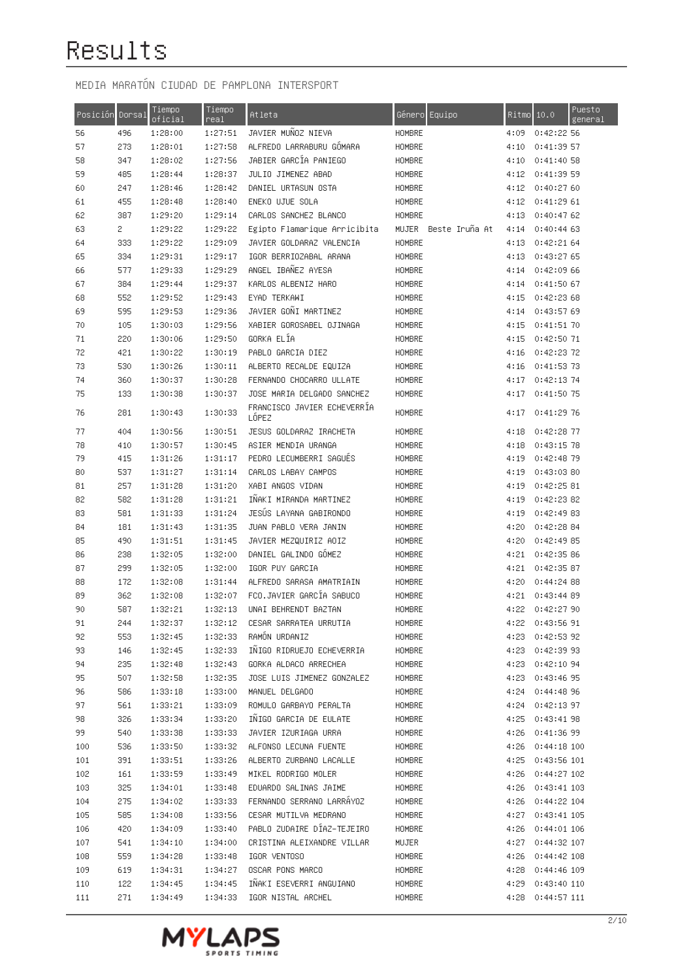| Posición | Dorsal | Tiempo<br>oficial | Tiempo<br>real | Atleta                               | Género Equipo          | Ritmo | 10.0             | Puesto<br>general |
|----------|--------|-------------------|----------------|--------------------------------------|------------------------|-------|------------------|-------------------|
| 56       | 496    | 1:28:00           | 1:27:51        | JAVIER MUÑOZ NIEVA                   | HOMBRE                 | 4:09  | 0:42:22:56       |                   |
| 57       | 273    | 1:28:01           | 1:27:58        | ALFREDO LARRABURU GOMARA             | HOMBRE                 | 4:10  | 0:41:39 57       |                   |
| 58       | 347    | 1:28:02           | 1:27:56        | JABIER GARCÍA PANIEGO                | HOMBRE                 | 4:10  | 0:41:40 58       |                   |
| 59       | 485    | 1:28:44           | 1:28:37        | JULIO JIMENEZ ABAD                   | HOMBRE                 | 4:12  | 0:41:39 59       |                   |
| 60       | 247    | 1:28:46           | 1:28:42        | DANIEL URTASUN OSTA                  | HOMBRE                 | 4:12  | 0:40:2760        |                   |
| 61       | 455    | 1:28:48           | 1:28:40        | ENEKO UJUE SOLA                      | HOMBRE                 | 4:12  | 0:41:29 61       |                   |
| 62       | 387    | 1:29:20           | 1:29:14        | CARLOS SANCHEZ BLANCO                | HOMBRE                 | 4:13  | 0:40:4762        |                   |
| 63       | 2      | 1:29:22           | 1:29:22        | Egipto Flamarique Arricibita         | MUJER – Beste Iruña At | 4:14  | 0:40:4463        |                   |
| 64       | 333    | 1:29:22           | 1:29:09        | JAVIER GOLDARAZ VALENCIA             | HOMBRE                 | 4:13  | 0:42:2164        |                   |
| 65       | 334    | 1:29:31           | 1:29:17        | IGOR BERRIOZABAL ARANA               | HOMBRE                 | 4:13  | 0:43:27 65       |                   |
| 66       | 577    | 1:29:33           | 1:29:29        | ANGEL IBAÑEZ AYESA                   | HOMBRE                 | 4:14  | 0:42:09 66       |                   |
| 67       | 384    | 1:29:44           | 1:29:37        | KARLOS ALBENIZ HARO                  | HOMBRE                 | 4:14  | 0:41:5067        |                   |
| 68       | 552    | 1:29:52           | 1:29:43        | EYAD TERKAWI                         | HOMBRE                 | 4:15  | 0:42:2368        |                   |
| 69       | 595    | 1:29:53           | 1:29:36        | JAVIER GONI MARTINEZ                 | HOMBRE                 | 4:14  | 0:43:57 69       |                   |
| 70       | 105    | 1:30:03           | 1:29:56        | XABIER GOROSABEL OJINAGA             | HOMBRE                 | 4:15  | 0:41:51 70       |                   |
| 71       | 220    | 1:30:06           | 1:29:50        | GORKA ELÍA                           | HOMBRE                 | 4:15  | 0:42:50 71       |                   |
| 72       | 421    | 1:30:22           | 1:30:19        | PABLO GARCIA DIEZ                    | HOMBRE                 | 4:16  | 0:42:23 72       |                   |
| 73       | 530    | 1:30:26           | 1:30:11        | ALBERTO RECALDE EQUIZA               | HOMBRE                 | 4:16  | $0:41:53$ 73     |                   |
| 74       | 360    | 1:30:37           | 1:30:28        | FERNANDO CHOCARRO ULLATE             | HOMBRE                 | 4:17  | 0:42:13.74       |                   |
| 75       | 133    | 1:30:38           | 1:30:37        | JOSE MARIA DELGADO SANCHEZ           | HOMBRE                 | 4:17  | 0:41:50 75       |                   |
| 76       | 281    | 1:30:43           | 1:30:33        | FRANCISCO JAVIER ECHEVERRIA<br>LOPEZ | HOMBRE                 | 4:17  | 0:41:29 76       |                   |
| 77       | 404    | 1:30:56           | 1:30:51        | JESUS GOLDARAZ IRACHETA              | HOMBRE                 | 4:18  | 0:42:28.77       |                   |
| 78       | 410    | 1:30:57           | 1:30:45        | ASIER MENDIA URANGA                  | HOMBRE                 | 4:18  | 0:43:15.78       |                   |
| 79       | 415    | 1:31:26           | 1:31:17        | PEDRO LECUMBERRI SAGUES              | HOMBRE                 | 4:19  | 0:42:48 79       |                   |
| 80       | 537    | 1:31:27           | 1:31:14        | CARLOS LABAY CAMPOS                  | HOMBRE                 | 4:19  | 0:43:03.80       |                   |
| 81       | 257    | 1:31:28           | 1:31:20        | XABI ANGOS VIDAN                     | HOMBRE                 | 4:19  | 0:42:25.81       |                   |
| 82       | 582    | 1:31:28           | 1:31:21        | INAKI MIRANDA MARTINEZ               | HOMBRE                 | 4:19  | 0:42:23.82       |                   |
| 83       | 581    | 1:31:33           | 1:31:24        | JESUS LAYANA GABIRONDO               | HOMBRE                 | 4:19  | 0:42:49.83       |                   |
| 84       | 181    | 1:31:43           | 1:31:35        | JUAN PABLO VERA JANIN                | HOMBRE                 | 4:20  | 0:42:28.84       |                   |
| 85       | 490    | 1:31:51           | 1:31:45        | JAVIER MEZQUIRIZ AOIZ                | HOMBRE                 | 4:20  | 0:42:49 85       |                   |
| 86       | 238    | 1:32:05           | 1:32:00        | DANIEL GALINDO GOMEZ                 | HOMBRE                 | 4:21  | 0:42:35.86       |                   |
| 87       | 299    | 1:32:05           | 1:32:00        | IGOR PUY GARCIA                      | <b>HOMBRE</b>          | 4:21  | 0:42:35.87       |                   |
| 88       | 172    | 1:32:08           | 1:31:44        | ALFREDO SARASA AMATRIAIN             | HOMBRE                 | 4:20  | 0:44:24 88       |                   |
| 89       | 362    | 1:32:08           | 1:32:07        | FCO.JAVIER GARCIA SABUCO             | HOMBRE                 | 4:21  | 0:43:44 89       |                   |
| 90       | 587    | 1:32:21           | 1:32:13        | UNAI BEHRENDT BAZTAN                 | HOMBRE                 | 4:22  | 0:42:27 90       |                   |
| 91       | 244    | 1:32:37           | 1:32:12        | CESAR SARRATEA URRUTIA               | HOMBRE                 |       | 4:22 0:43:56 91  |                   |
| 92       | 553    | 1:32:45           | 1:32:33        | RAMON URDANIZ                        | <b>HOMBRE</b>          |       | 4:23 0:42:53 92  |                   |
| 93       | 146    | 1:32:45           | 1:32:33        | INIGO RIDRUEJO ECHEVERRIA            | HOMBRE                 |       | 4:23 0:42:39 93  |                   |
| 94       | 235    | 1:32:48           | 1:32:43        | GORKA ALDACO ARRECHEA                | HOMBRE                 | 4:23  | 0:42:10 94       |                   |
| 95       | 507    | 1:32:58           | 1:32:35        | JOSE LUIS JIMENEZ GONZALEZ           | HOMBRE                 | 4:23  | 0:43:46 95       |                   |
| 96       | 586    | 1:33:18           | 1:33:00        | MANUEL DELGADO                       | HOMBRE                 |       | 4:24 0:44:48 96  |                   |
| 97       | 561    | 1:33:21           | 1:33:09        | ROMULO GARBAYO PERALTA               | <b>HOMBRE</b>          |       | 4:24 0:42:13 97  |                   |
| 98       | 326    | 1:33:34           | 1:33:20        | INIGO GARCIA DE EULATE               | HOMBRE                 |       | 4:25 0:43:41 98  |                   |
| 99       | 540    | 1:33:38           | 1:33:33        | JAVIER IZURIAGA URRA                 | <b>HOMBRE</b>          |       | 4:26 0:41:36 99  |                   |
| 100      | 536    | 1:33:50           | 1:33:32        | ALFONSO LECUNA FUENTE                | <b>HOMBRE</b>          |       | 4:26 0:44:18 100 |                   |
| 101      | 391    | 1:33:51           | 1:33:26        | ALBERTO ZURBANO LACALLE              | <b>HOMBRE</b>          |       | 4:25 0:43:56 101 |                   |
| 102      | 161    | 1:33:59           | 1:33:49        | MIKEL RODRIGO MOLER                  | HOMBRE                 |       | 4:26 0:44:27 102 |                   |
| 103      | 325    | 1:34:01           | 1:33:48        | EDUARDO SALINAS JAIME                | HOMBRE                 |       | 4:26 0:43:41 103 |                   |
| 104      | 275    | 1:34:02           | 1:33:33        | FERNANDO SERRANO LARRÁYOZ            | HOMBRE                 |       | 4:26 0:44:22 104 |                   |
| 105      | 585    | 1:34:08           | 1:33:56        | CESAR MUTILVA MEDRANO                | HOMBRE                 |       | 4:27 0:43:41 105 |                   |
| 106      | 420    | 1:34:09           | 1:33:40        | PABLO ZUDAIRE DÍAZ-TEJEIRO           | HOMBRE                 |       | 4:26 0:44:01 106 |                   |
| 107      | 541    | 1:34:10           | 1:34:00        | CRISTINA ALEIXANDRE VILLAR           | MUJER                  |       | 4:27 0:44:32 107 |                   |
| 108      | 559    | 1:34:28           | 1:33:48        | IGOR VENTOSO                         | HOMBRE                 |       | 4:26 0:44:42 108 |                   |
| 109      | 619    | 1:34:31           | 1:34:27        | OSCAR PONS MARCO                     | HOMBRE                 |       | 4:28 0:44:46 109 |                   |
| 110      | 122    | 1:34:45           | 1:34:45        | INAKI ESEVERRI ANGUIANO              | HOMBRE                 |       | 4:29 0:43:40 110 |                   |
| 111      | 271    | 1:34:49           | 1:34:33        | IGOR NISTAL ARCHEL                   | HOMBRE                 |       | 4:28 0:44:57 111 |                   |

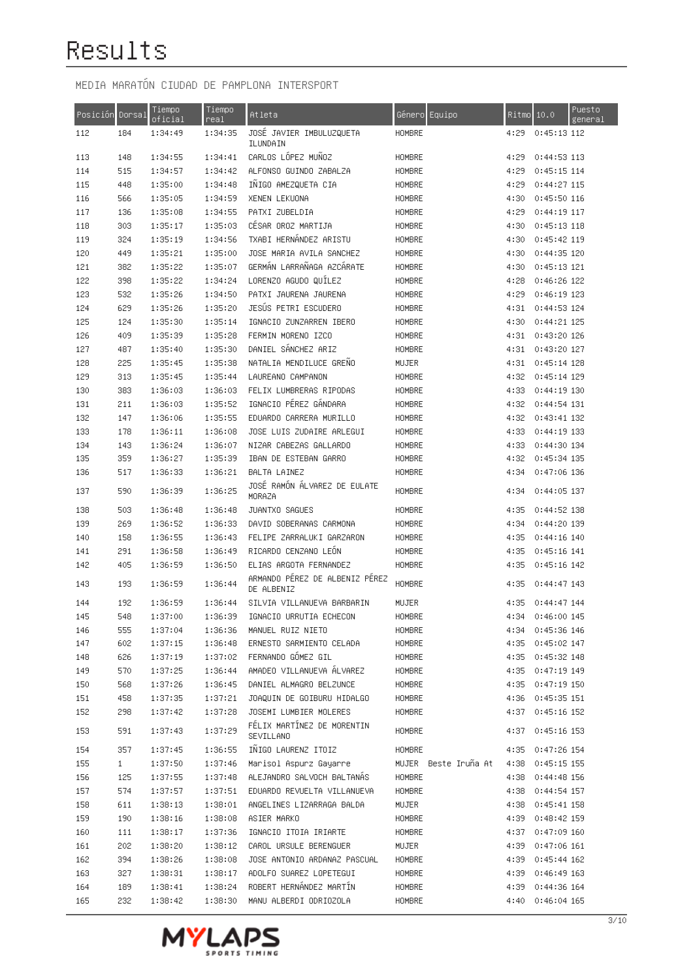| Posición Dorsal |                     | Tiempo<br>oficial  | Tiempo<br>real     | Atleta                                               | Género Equipo                  | $Ritmo$ 10.0 |                                | Puesto<br>general |
|-----------------|---------------------|--------------------|--------------------|------------------------------------------------------|--------------------------------|--------------|--------------------------------|-------------------|
| 112             | 184                 | 1:34:49            | 1:34:35            | JOSĖ JAVIER IMBULUZQUETA<br>ILUNDAIN                 | HOMBRE                         | 4:29         | $0:45:13$ 112                  |                   |
| 113             | 148                 | 1:34:55            | 1:34:41            | CARLOS LOPEZ MUNOZ                                   | HOMBRE                         | 4:29         | 0:44:53 113                    |                   |
| 114             | 515                 | 1:34:57            | 1:34:42            | ALFONSO GUINDO ZABALZA                               | HOMBRE                         | 4:29         | $0:45:15$ 114                  |                   |
| 115             | 448                 | 1:35:00            | 1:34:48            | INIGO AMEZQUETA CIA                                  | HOMBRE                         | 4:29         | 0:44:27 115                    |                   |
| 116             | 566                 | 1:35:05            | 1:34:59            | XENEN LEKUONA                                        | HOMBRE                         | 4:30         | $0:45:50$ 116                  |                   |
| 117             | 136                 | 1:35:08            | 1:34:55            | PATXI ZUBELDIA                                       | HOMBRE                         | 4:29         | 0:44:19 117                    |                   |
| 118             | 303                 | 1:35:17            | 1:35:03            | CESAR OROZ MARTIJA                                   | HOMBRE                         | 4:30         | $0:45:13$ 118                  |                   |
| 119             | 324                 | 1:35:19            | 1:34:56            | TXABI HERNANDEZ ARISTU                               | <b>HOMBRE</b>                  | 4:30         | 0:45:42 119                    |                   |
| 120             | 449                 | 1:35:21            | 1:35:00            | JOSE MARIA AVILA SANCHEZ                             | HOMBRE                         | 4:30         | 0:44:35 120                    |                   |
| 121             | 382                 | 1:35:22            | 1:35:07            | GERMÁN LARRAÑAGA AZCÁRATE                            | HOMBRE                         | 4:30         | $0:45:13$ 121                  |                   |
| 122             | 398                 | 1:35:22            | 1:34:24            | LORENZO AGUDO QUILEZ                                 | HOMBRE                         | 4:28         | $0:46:26$ 122                  |                   |
| 123             | 532                 | 1:35:26            | 1:34:50            | PATXI JAURENA JAURENA                                | HOMBRE                         | 4:29         | $0:46:19$ 123                  |                   |
| 124             | 629                 | 1:35:26            | 1:35:20            | JESÚS PETRI ESCUDERO                                 | HOMBRE                         | 4:31         | 0:44:53 124                    |                   |
| 125             | 124                 | 1:35:30            | 1:35:14            | IGNACIO ZUNZARREN IBERO                              | HOMBRE                         | 4:30         | 0:44:21 125                    |                   |
| 126             | 409                 | 1:35:39            | 1:35:28            | FERMIN MORENO IZCO                                   | HOMBRE                         | 4:31         | 0:43:20 126                    |                   |
| 127             | 487                 | 1:35:40            | 1:35:30            | DANIEL SÁNCHEZ ARIZ                                  | HOMBRE                         | 4:31         | 0:43:20 127                    |                   |
| 128             | 225                 | 1:35:45            | 1:35:38            | NATALIA MENDILUCE GRENO                              | MUJER                          | 4:31         | $0:45:14$ 128                  |                   |
| 129             | 313                 | 1:35:45            | 1:35:44            | LAUREANO CAMPANON                                    | HOMBRE                         | 4:32         | $0:45:14$ 129                  |                   |
| 130             | 383                 | 1:36:03            | 1:36:03            | FELIX LUMBRERAS RIPODAS                              | HOMBRE                         | 4:33         | 0:44:19 130                    |                   |
| 131             | 211                 | 1:36:03            | 1:35:52            | IGNACIO PÉREZ GÁNDARA                                | HOMBRE                         | 4:32         | 0:44:54 131                    |                   |
| 132             | 147                 | 1:36:06            | 1:35:55            | EDUARDO CARRERA MURILLO                              | HOMBRE                         | 4:32         | 0:43:41 132                    |                   |
| 133             | 178                 | 1:36:11            | 1:36:08            | JOSE LUIS ZUDAIRE ARLEGUI                            | HOMBRE                         | 4:33         | $0:44:19$ 133                  |                   |
| 134             | 143                 | 1:36:24            | 1:36:07            | NIZAR CABEZAS GALLARDO                               | HOMBRE                         | 4:33         | 0:44:30 134                    |                   |
| 135             | 359                 | 1:36:27            | 1:35:39            | IBAN DE ESTEBAN GARRO                                | HOMBRE                         | 4:32         | 0:45:34 135                    |                   |
| 136             | 517                 | 1:36:33            | 1:36:21            | BALTA LAINEZ                                         | HOMBRE                         | 4:34         | 0:47:06 136                    |                   |
| 137             | 590                 | 1:36:39            | 1:36:25            | JOSÉ RAMON ALVAREZ DE EULATE<br>MORAZA               | HOMBRE                         | 4:34         | 0:44:05 137                    |                   |
| 138             | 503                 | 1:36:48            | 1:36:48            | JUANTXO SAGUES                                       | HOMBRE                         | 4:35         | 0:44:52 138                    |                   |
| 139             | 269                 | 1:36:52            | 1:36:33            | DAVID SOBERANAS CARMONA                              | HOMBRE                         | 4:34         | 0:44:20 139                    |                   |
| 140             | 158                 | 1:36:55            | 1:36:43            | FELIPE ZARRALUKI GARZARON                            | HOMBRE                         | 4:35         | 0:44:16 140                    |                   |
| 141             | 291                 | 1:36:58            | 1:36:49            | RICARDO CENZANO LEON                                 | HOMBRE                         | 4:35         | $0:45:16$ 141                  |                   |
| 142             | 405                 | 1:36:59            | 1:36:50            | ELIAS ARGOTA FERNANDEZ                               | HOMBRE                         | 4:35         | $0:45:16$ 142                  |                   |
| 143             | 193                 | 1:36:59            | 1:36:44            | ARMANDO PÉREZ DE ALBENIZ PÉREZ<br>DE ALBENIZ         | HOMBRE                         | 4:35         | 0:44:47 143                    |                   |
| 144             | 192                 | 1:36:59            | 1:36:44            | SILVIA VILLANUEVA BARBARIN                           | MUJER                          | 4:35         | 0:44:47 144                    |                   |
| 145             | 548                 | 1:37:00            | 1:36:39            | IGNACIO URRUTIA ECHECON                              | <b>HOMBRE</b>                  | 4:34         | 0:46:00 145                    |                   |
| 146             | 555                 | 1:37:04            | 1:36:36            | MANUEL RUIZ NIETO                                    | HOMBRE                         | 4:34         | 0:45:36 146                    |                   |
| 147             | 602                 | 1:37:15            | 1:36:48            | ERNESTO SARMIENTO CELADA                             | HOMBRE                         |              | 4:35 0:45:02 147               |                   |
| 148             | 626                 | 1:37:19            | 1:37:02            | FERNANDO GÓMEZ GIL                                   | HOMBRE                         |              | 4:35 0:45:32 148               |                   |
| 149             | 570                 | 1:37:25            | 1:36:44            | AMADEO VILLANUEVA ALVAREZ                            | HOMBRE                         | 4:35         | 0:47:19 149                    |                   |
| 150             | 568                 | 1:37:26            | 1:36:45            | DANIEL ALMAGRO BELZUNCE                              | HOMBRE                         | 4:35         | $0:47:19$ 150                  |                   |
| 151             | 458                 | 1:37:35            | 1:37:21            | JOAQUIN DE GOIBURU HIDALGO                           | HOMBRE                         | 4:36         | $0:45:35$ 151                  |                   |
| 152<br>153      | 298<br>591          | 1:37:42<br>1:37:43 | 1:37:28<br>1:37:29 | JOSEMI LUMBIER MOLERES<br>FÉLIX MARTÍNEZ DE MORENTIN | HOMBRE<br>HOMBRE               | 4:37<br>4:37 | $0:45:16$ 152<br>$0:45:16$ 153 |                   |
|                 |                     |                    |                    | SEVILLANO                                            |                                |              |                                |                   |
| 154             | 357<br>$\mathbf{1}$ | 1:37:45            | 1:36:55            | INIGO LAURENZ ITOIZ                                  | HOMBRE                         | 4:35         | 0:47:26 154                    |                   |
| 155<br>156      | 125                 | 1:37:50<br>1:37:55 | 1:37:46<br>1:37:48 | Marisol Aspurz Gayarre<br>ALEJANDRO SALVOCH BALTANAS | MUJER Beste Iruña At<br>HOMBRE | 4:38<br>4:38 | $0:45:15$ 155<br>0:44:48 156   |                   |
| 157             | 574                 | 1:37:57            | 1:37:51            | EDUARDO REVUELTA VILLANUEVA                          | HOMBRE                         | 4:38         | 0:44:54 157                    |                   |
| 158             | 611                 | 1:38:13            | 1:38:01            | ANGELINES LIZARRAGA BALDA                            | MUJER                          | 4:38         | $0:45:41$ 158                  |                   |
| 159             | 190                 | 1:38:16            | 1:38:08            | ASIER MARKO                                          | HOMBRE                         | 4:39         | 0:48:42 159                    |                   |
| 160             | 111                 | 1:38:17            | 1:37:36            | IGNACIO ITOIA IRIARTE                                | HOMBRE                         | 4:37         | 0:47:09 160                    |                   |
| 161             | 202                 | 1:38:20            | 1:38:12            | CAROL URSULE BERENGUER                               | MUJER                          | 4:39         | $0:47:06$ 161                  |                   |
| 162             | 394                 | 1:38:26            | 1:38:08            | JOSE ANTONIO ARDANAZ PASCUAL                         | HOMBRE                         | 4:39         | $0:45:44$ 162                  |                   |
| 163             | 327                 | 1:38:31            | 1:38:17            | ADOLFO SUAREZ LOPETEGUI                              | HOMBRE                         | 4:39         | 0:46:49 163                    |                   |
| 164             | 189                 | 1:38:41            | 1:38:24            | ROBERT HERNANDEZ MARTIN                              | HOMBRE                         | 4:39         | 0:44:36 164                    |                   |
| 165             | 232                 | 1:38:42            | 1:38:30            | MANU ALBERDI ODRIOZOLA                               | HOMBRE                         |              | 4:40 0:46:04 165               |                   |
|                 |                     |                    |                    |                                                      |                                |              |                                |                   |

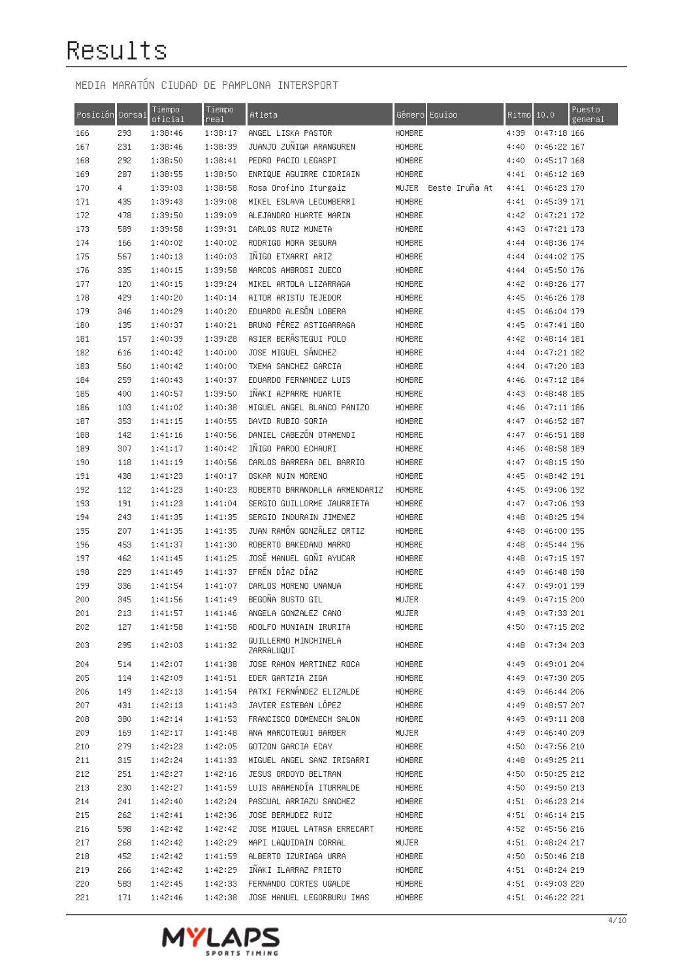| Posición Dorsal |     | Tiempo<br>oficial | Tiempo<br>real | Atleta                             |        | Género Equipo        | Ritmo 10.0 |                  | Puesto<br>general |
|-----------------|-----|-------------------|----------------|------------------------------------|--------|----------------------|------------|------------------|-------------------|
| 166             | 293 | 1:38:46           | 1:38:17        | ANGEL LISKA PASTOR                 | HOMBRE |                      | 4:39       | $0:47:18$ 166    |                   |
| 167             | 231 | 1:38:46           | 1:38:39        | JUANJO ZUÑIGA ARANGUREN            | HOMBRE |                      | 4:40       | $0:46:22$ 167    |                   |
| 168             | 292 | 1:38:50           | 1:38:41        | PEDRO PACIO LEGASPI                | HOMBRE |                      | 4:40       | $0:45:17$ 168    |                   |
| 169             | 287 | 1:38:55           | 1:38:50        | ENRIQUE AGUIRRE CIDRIAIN           | HOMBRE |                      | 4:41       | $0:46:12$ 169    |                   |
| 170             | 4   | 1:39:03           | 1:38:58        | Rosa Orofino Iturgaiz              |        | MUJER Beste Iruña At | 4:41       | $0:46:23$ 170    |                   |
| 171             | 435 | 1:39:43           | 1:39:08        | MIKEL ESLAVA LECUMBERRI            | HOMBRE |                      | 4:41       | 0:45:39 171      |                   |
| 172             | 478 | 1:39:50           | 1:39:09        | ALEJANDRO HUARTE MARIN             | HOMBRE |                      | 4:42       | 0:47:21 172      |                   |
| 173             | 589 | 1:39:58           | 1:39:31        | CARLOS RUIZ MUNETA                 | HOMBRE |                      | 4:43       | 0:47:21 173      |                   |
| 174             | 166 | 1:40:02           | 1:40:02        | RODRIGO MORA SEGURA                | HOMBRE |                      | 4:44       | 0:48:36 174      |                   |
| 175             | 567 | 1:40:13           | 1:40:03        | INIGO ETXARRI ARIZ                 | HOMBRE |                      | 4:44       | 0:44:02 175      |                   |
| 176             | 335 | 1:40:15           | 1:39:58        | MARCOS AMBROSI ZUECO               | HOMBRE |                      | 4:44       | 0:45:50 176      |                   |
| 177             | 120 | 1:40:15           | 1:39:24        | MIKEL ARTOLA LIZARRAGA             | HOMBRE |                      | 4:42       | 0:48:26 177      |                   |
| 178             | 429 | 1:40:20           | 1:40:14        | AITOR ARISTU TEJEDOR               | HOMBRE |                      | 4:45       | $0:46:26$ 178    |                   |
| 179             | 346 | 1:40:29           | 1:40:20        | EDUARDO ALESÓN LOBERA              | HOMBRE |                      | 4:45       | 0:46:04 179      |                   |
| 180             | 135 | 1:40:37           | 1:40:21        | BRUNO PEREZ ASTIGARRAGA            | HOMBRE |                      | 4:45       | 0:47:41 180      |                   |
| 181             | 157 | 1:40:39           | 1:39:28        | ASIER BERÁSTEGUI POLO              | HOMBRE |                      | 4:42       | $0:48:14$ 181    |                   |
| 182             | 616 | 1:40:42           | 1:40:00        | JOSE MIGUEL SANCHEZ                | HOMBRE |                      | 4:44       | 0:47:21 182      |                   |
| 183             | 560 | 1:40:42           | 1:40:00        | TXEMA SANCHEZ GARCIA               | HOMBRE |                      | 4:44       | 0:47:20 183      |                   |
| 184             | 259 | 1:40:43           | 1:40:37        | EDUARDO FERNANDEZ LUIS             | HOMBRE |                      | 4:46       | $0:47:12$ 184    |                   |
| 185             | 400 | 1:40:57           | 1:39:50        | INAKI AZPARRE HUARTE               | HOMBRE |                      | 4:43       | $0:48:48$ 185    |                   |
| 186             | 103 | 1:41:02           | 1:40:38        | MIGUEL ANGEL BLANCO PANIZO         | HOMBRE |                      | 4:46       | 0:47:11 186      |                   |
| 187             | 353 | 1:41:15           | 1:40:55        | DAVID RUBIO SORIA                  | HOMBRE |                      | 4:47       | $0:46:52$ 187    |                   |
| 188             | 142 | 1:41:16           | 1:40:56        | DANIEL CABEZÓN OTAMENDI            | HOMBRE |                      | 4:47       | $0:46:51$ 188    |                   |
| 189             | 307 | 1:41:17           | 1:40:42        | INIGO PARDO ECHAURI                | HOMBRE |                      | 4:46       | 0:48:58 189      |                   |
| 190             | 118 | 1:41:19           | 1:40:56        | CARLOS BARRERA DEL BARRIO          | HOMBRE |                      | 4:47       | $0:48:15$ 190    |                   |
| 191             | 438 | 1:41:23           | 1:40:17        | OSKAR NUIN MORENO                  | HOMBRE |                      | 4:45       | 0:48:42 191      |                   |
| 192             | 112 | 1:41:23           | 1:40:23        | ROBERTO BARANDALLA ARMENDARIZ      | HOMBRE |                      | 4:45       | 0:49:06 192      |                   |
| 193             | 191 | 1:41:23           | 1:41:04        | SERGIO GUILLORME JAURRIETA         | HOMBRE |                      | 4:47       | 0:47:06 193      |                   |
| 194             | 243 | 1:41:35           | 1:41:35        | SERGIO INDURAIN JIMENEZ            | HOMBRE |                      | 4:48       | 0:48:25 194      |                   |
| 195             | 207 | 1:41:35           | 1:41:35        | JUAN RAMÓN GONZÁLEZ ORTIZ          | HOMBRE |                      | 4:48       | 0:46:00 195      |                   |
| 196             | 453 | 1:41:37           | 1:41:30        | ROBERTO BAKEDANO MARRO             | HOMBRE |                      | 4:48       | 0:45:44 196      |                   |
| 197             | 462 | 1:41:45           | 1:41:25        | JOSÉ MANUEL GOÑI AYUCAR            | HOMBRE |                      | 4:48       | 0:47:15 197      |                   |
| 198             | 229 | 1:41:49           | 1:41:37        | EFRÉN DÍAZ DÍAZ                    | HOMBRE |                      | 4:49       | 0:46:48 198      |                   |
| 199             | 336 | 1:41:54           | 1:41:07        | CARLOS MORENO UNANUA               | HOMBRE |                      | 4:47       | 0:49:01 199      |                   |
| 200             | 345 | 1:41:56           | 1:41:49        | BEGOÑA BUSTO GIL                   | MUJER  |                      | 4:49       | 0:47:15 200      |                   |
| 201             | 213 | 1:41:57           | 1:41:46        | ANGELA GONZALEZ CANO               | MUJER  |                      | 4:49       | 0:47:33 201      |                   |
| 202             | 127 | 1:41:58           | 1:41:58        | ADOLFO MUNIAIN IRURITA             | HOMBRE |                      | 4:50       | 0:47:15 202      |                   |
| 203             | 295 | 1:42:03           | 1:41:32        | GUILLERMO MINCHINELA<br>ZARRALUQUI | HOMBRE |                      |            | 4:48 0:47:34 203 |                   |
| 204             | 514 | 1:42:07           | 1:41:38        | JOSE RAMON MARTINEZ ROCA           | HOMBRE |                      | 4:49       | 0:49:01 204      |                   |
| 205             | 114 | 1:42:09           | 1:41:51        | EDER GARTZIA ZIGA                  | HOMBRE |                      |            | 4:49 0:47:30 205 |                   |
| 206             | 149 | 1:42:13           | 1:41:54        | PATXI FERNÁNDEZ ELIZALDE           | HOMBRE |                      | 4:49       | 0:46:44 206      |                   |
| 207             | 431 | 1:42:13           | 1:41:43        | JAVIER ESTEBAN LÓPEZ               | HOMBRE |                      | 4:49       | 0:48:57 207      |                   |
| 208             | 380 | 1:42:14           | 1:41:53        | FRANCISCO DOMENECH SALON           | HOMBRE |                      | 4:49       | 0:49:11 208      |                   |
| 209             | 169 | 1:42:17           | 1:41:48        | ANA MARCOTEGUI BARBER              | MUJER  |                      | 4:49       | 0:46:40 209      |                   |
| 210             | 279 | 1:42:23           | 1:42:05        | GOTZON GARCIA ECAY                 | HOMBRE |                      | 4:50       | 0:47:56 210      |                   |
| 211             | 315 | 1:42:24           | 1:41:33        | MIGUEL ANGEL SANZ IRISARRI         | HOMBRE |                      | 4:48       | 0:49:25 211      |                   |
| 212             | 251 | 1:42:27           | 1:42:16        | JESUS ORDOYO BELTRAN               | HOMBRE |                      | 4:50       | 0:50:25 212      |                   |
| 213             | 230 | 1:42:27           | 1:41:59        | LUIS ARAMENDÍA ITURRALDE           | HOMBRE |                      | 4:50       | 0:49:50 213      |                   |
| 214             | 241 | 1:42:40           | 1:42:24        | PASCUAL ARRIAZU SANCHEZ            | HOMBRE |                      | 4:51       | 0:46:23 214      |                   |
| 215             | 262 | 1:42:41           | 1:42:36        | JOSE BERMUDEZ RUIZ                 | HOMBRE |                      | 4:51       | 0:46:14 215      |                   |
| 216             | 598 | 1:42:42           | 1:42:42        | JOSE MIGUEL LATASA ERRECART        | HOMBRE |                      |            | 4:52 0:45:56 216 |                   |
| 217             | 268 | 1:42:42           | 1:42:29        | MAPI LAQUIDAIN CORRAL              | MUJER  |                      |            | 4:51 0:48:24 217 |                   |
| 218             | 452 | 1:42:42           | 1:41:59        | ALBERTO IZURIAGA URRA              | HOMBRE |                      |            | 4:50 0:50:46 218 |                   |
| 219             | 266 | 1:42:42           | 1:42:29        | INAKI ILARRAZ PRIETO               | HOMBRE |                      |            | 4:51 0:48:24 219 |                   |
| 220             | 583 | 1:42:45           | 1:42:33        | FERNANDO CORTES UGALDE             | HOMBRE |                      |            | 4:51 0:49:03 220 |                   |
| 221             | 171 | 1:42:46           | 1:42:38        | JOSE MANUEL LEGORBURU IMAS         | HOMBRE |                      |            | 4:51 0:46:22 221 |                   |

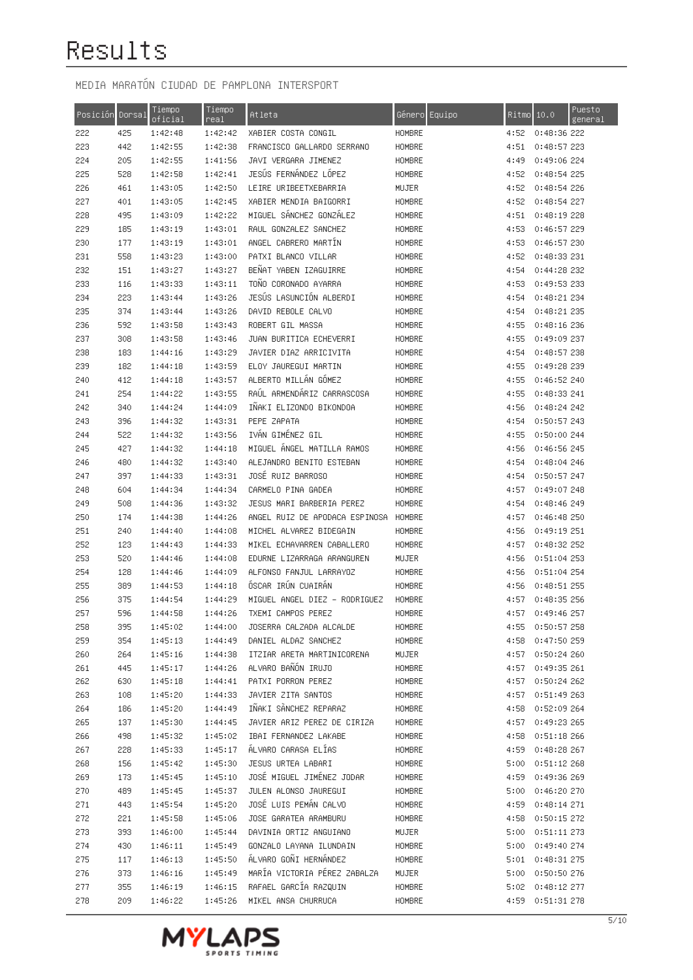| Posición Dorsal |     | Tiempo<br>oficial | Tiempo<br>real | Atleta                         | Género Equipo |      | Ritmo <sub>10.0</sub> | Puesto<br>general |
|-----------------|-----|-------------------|----------------|--------------------------------|---------------|------|-----------------------|-------------------|
| 222             | 425 | 1:42:48           | 1:42:42        | XABIER COSTA CONGIL            | HOMBRE        | 4:52 | 0:48:36 222           |                   |
| 223             | 442 | 1:42:55           | 1:42:38        | FRANCISCO GALLARDO SERRANO     | HOMBRE        | 4:51 | 0:48:57 223           |                   |
| 224             | 205 | 1:42:55           | 1:41:56        | JAVI VERGARA JIMENEZ           | HOMBRE        | 4:49 | 0:49:06 224           |                   |
| 225             | 528 | 1:42:58           | 1:42:41        | JESUS FERNANDEZ LOPEZ          | HOMBRE        | 4:52 | 0:48:54 225           |                   |
| 226             | 461 | 1:43:05           | 1:42:50        | LEIRE URIBEETXEBARRIA          | MUJER         | 4:52 | 0:48:54 226           |                   |
| 227             | 401 | 1:43:05           | 1:42:45        | XABIER MENDIA BAIGORRI         | HOMBRE        | 4:52 | 0:48:54 227           |                   |
| 228             | 495 | 1:43:09           | 1:42:22        | MIGUEL SÁNCHEZ GONZÁLEZ        | HOMBRE        | 4:51 | 0:48:19 228           |                   |
| 229             | 185 | 1:43:19           | 1:43:01        | RAUL GONZALEZ SANCHEZ          | HOMBRE        | 4:53 | 0:46:57 229           |                   |
| 230             | 177 | 1:43:19           | 1:43:01        | ANGEL CABRERO MARTIN           | HOMBRE        | 4:53 | 0:46:57 230           |                   |
| 231             | 558 | 1:43:23           | 1:43:00        | PATXI BLANCO VILLAR            | HOMBRE        | 4:52 | 0:48:33 231           |                   |
| 232             | 151 | 1:43:27           | 1:43:27        | BENAT YABEN IZAGUIRRE          | HOMBRE        | 4:54 | 0:44:28 232           |                   |
| 233             | 116 | 1:43:33           | 1:43:11        | TOÑO CORONADO AYARRA           | HOMBRE        | 4:53 | 0:49:53 233           |                   |
| 234             | 223 | 1:43:44           | 1:43:26        | JESUS LASUNCION ALBERDI        | HOMBRE        | 4:54 | 0:48:21 234           |                   |
| 235             | 374 | 1:43:44           | 1:43:26        | DAVID REBOLE CALVO             | HOMBRE        | 4:54 | 0:48:21 235           |                   |
| 236             | 592 | 1:43:58           | 1:43:43        | ROBERT GIL MASSA               | HOMBRE        | 4:55 | 0:48:16236            |                   |
| 237             | 308 | 1:43:58           | 1:43:46        | JUAN BURITICA ECHEVERRI        | HOMBRE        | 4:55 | 0:49:09 237           |                   |
| 238             | 183 | 1:44:16           | 1:43:29        | JAVIER DIAZ ARRICIVITA         | HOMBRE        | 4:54 | 0:48:57 238           |                   |
| 239             | 182 | 1:44:18           | 1:43:59        | ELOY JAUREGUI MARTIN           | HOMBRE        | 4:55 | 0:49:28 239           |                   |
| 240             | 412 | 1:44:18           | 1:43:57        | ALBERTO MILLAN GOMEZ           | HOMBRE        | 4:55 | 0:46:52 240           |                   |
| 241             | 254 | 1:44:22           | 1:43:55        | RAUL ARMENDARIZ CARRASCOSA     | HOMBRE        | 4:55 | 0:48:33 241           |                   |
| 242             | 340 | 1:44:24           | 1:44:09        | INAKI ELIZONDO BIKONDOA        | HOMBRE        | 4:56 | 0:48:24 242           |                   |
| 243             | 396 | 1:44:32           | 1:43:31        | PEPE ZAPATA                    | HOMBRE        | 4:54 | 0:50:57 243           |                   |
| 244             | 522 | 1:44:32           | 1:43:56        | IVÁN GIMÉNEZ GIL               | HOMBRE        | 4:55 | 0:50:00 244           |                   |
| 245             | 427 | 1:44:32           | 1:44:18        | MIGUEL ANGEL MATILLA RAMOS     | HOMBRE        | 4:56 | 0:46:56 245           |                   |
| 246             | 480 | 1:44:32           | 1:43:40        | ALEJANDRO BENITO ESTEBAN       | HOMBRE        | 4:54 | 0:48:04 246           |                   |
| 247             | 397 | 1:44:33           | 1:43:31        | JOSÉ RUIZ BARROSO              | HOMBRE        | 4:54 | 0:50:57 247           |                   |
| 248             | 604 | 1:44:34           | 1:44:34        | CARMELO PINA GADEA             | HOMBRE        | 4:57 | 0:49:07 248           |                   |
| 249             | 508 | 1:44:36           | 1:43:32        | JESUS MARI BARBERIA PEREZ      | HOMBRE        | 4:54 | 0:48:46 249           |                   |
| 250             | 174 | 1:44:38           | 1:44:26        | ANGEL RUIZ DE APODACA ESPINOSA | HOMBRE        | 4:57 | 0:46:48 250           |                   |
| 251             | 240 | 1:44:40           | 1:44:08        | MICHEL ALVAREZ BIDEGAIN        | HOMBRE        | 4:56 | 0:49:19 251           |                   |
| 252             | 123 | 1:44:43           | 1:44:33        | MIKEL ECHAVARREN CABALLERO     | HOMBRE        | 4:57 | 0:48:32 252           |                   |
| 253             | 520 | 1:44:46           | 1:44:08        | EDURNE LIZARRAGA ARANGUREN     | MUJER         | 4:56 | 0:51:04 253           |                   |
| 254             | 128 | 1:44:46           | 1:44:09        | ALFONSO FANJUL LARRAYOZ        | HOMBRE        | 4:56 | 0:51:04 254           |                   |
| 255             | 389 | 1:44:53           | 1:44:18        | ÓSCAR IRÚN CUAIRÁN             | HOMBRE        | 4:56 | 0:48:51 255           |                   |
| 256             | 375 | 1:44:54           | 1:44:29        | MIGUEL ANGEL DIEZ - RODRIGUEZ  | HOMBRE        | 4:57 | 0:48:35256            |                   |
| 257             | 596 | 1:44:58           | 1:44:26        | TXEMI CAMPOS PEREZ             | HOMBRE        | 4:57 | 0:49:46 257           |                   |
| 258             | 395 | 1:45:02           | 1:44:00        | JOSERRA CALZADA ALCALDE        | HOMBRE        | 4:55 | 0:50:57 258           |                   |
| 259             | 354 | 1:45:13           | 1:44:49        | DANIEL ALDAZ SANCHEZ           | HOMBRE        | 4:58 | 0:47:50 259           |                   |
| 260             | 264 | 1:45:16           | 1:44:38        | ITZIAR ARETA MARTINICORENA     | MUJER         |      | 4:57 0:50:24 260      |                   |
| 261             | 445 | 1:45:17           | 1:44:26        | ALVARO BAÑÓN IRUJO             | HOMBRE        |      | 4:57 0:49:35 261      |                   |
| 262             | 630 | 1:45:18           | 1:44:41        | PATXI PORRON PEREZ             | HOMBRE        |      | 4:57 0:50:24 262      |                   |
| 263             | 108 | 1:45:20           | 1:44:33        | JAVIER ZITA SANTOS             | HOMBRE        |      | 4:57 0:51:49 263      |                   |
| 264             | 186 | 1:45:20           | 1:44:49        | IÑAKI SÀNCHEZ REPARAZ          | HOMBRE        |      | 4:58 0:52:09 264      |                   |
| 265             | 137 | 1:45:30           | 1:44:45        | JAVIER ARIZ PEREZ DE CIRIZA    | HOMBRE        |      | 4:57 0:49:23 265      |                   |
| 266             | 498 | 1:45:32           | 1:45:02        | IBAI FERNANDEZ LAKABE          | HOMBRE        |      | 4:58 0:51:18 266      |                   |
| 267             | 228 | 1:45:33           | 1:45:17        | ALVARO CARASA ELIAS            | <b>HOMBRE</b> |      | 4:59 0:48:28 267      |                   |
| 268             | 156 | 1:45:42           | 1:45:30        | JESUS URTEA LABARI             | HOMBRE        |      | 5:00 0:51:12 268      |                   |
| 269             | 173 | 1:45:45           | 1:45:10        | JOSÉ MIGUEL JIMÉNEZ JODAR      | HOMBRE        |      | 4:59 0:49:36 269      |                   |
| 270             | 489 | 1:45:45           | 1:45:37        | JULEN ALONSO JAUREGUI          | HOMBRE        |      | 5:00 0:46:20 270      |                   |
| 271             | 443 | 1:45:54           | 1:45:20        | JOSÉ LUIS PEMÁN CALVO          | HOMBRE        |      | 4:59 0:48:14 271      |                   |
| 272             | 221 | 1:45:58           | 1:45:06        | JOSE GARATEA ARAMBURU          | HOMBRE        | 4:58 | 0:50:15 272           |                   |
| 273             | 393 | 1:46:00           | 1:45:44        | DAVINIA ORTIZ ANGUIANO         | MUJER         | 5:00 | 0:51:11 273           |                   |
| 274             | 430 | 1:46:11           | 1:45:49        | GONZALO LAYANA ILUNDAIN        | HOMBRE        |      | 5:00 0:49:40 274      |                   |
| 275             | 117 | 1:46:13           | 1:45:50        | ÁLVARO GOÑI HERNÁNDEZ          | HOMBRE        |      | 5:01 0:48:31 275      |                   |
| 276             | 373 | 1:46:16           | 1:45:49        | MARÍA VICTORIA PÉREZ ZABALZA   | MUJER         |      | 5:00 0:50:50 276      |                   |
| 277             | 355 | 1:46:19           | 1:46:15        | RAFAEL GARCIA RAZQUIN          | HOMBRE        |      | 5:02 0:48:12 277      |                   |
| 278             | 209 | 1:46:22           | 1:45:26        | MIKEL ANSA CHURRUCA            | HOMBRE        |      | 4:59 0:51:31 278      |                   |

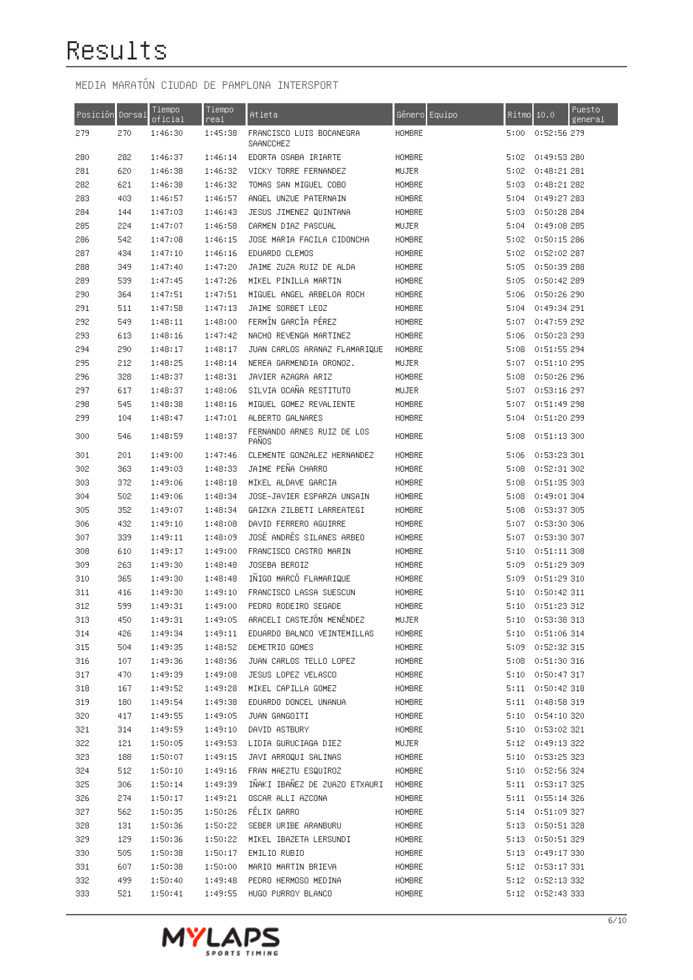| Posición Dorsal |     | Tiempo<br>oficial | <u>Tiempo</u><br>real | Atleta                                | Género Equipo | Ritmo | 10.0                 | Puesto<br>general |
|-----------------|-----|-------------------|-----------------------|---------------------------------------|---------------|-------|----------------------|-------------------|
| 279             | 270 | 1:46:30           | 1:45:38               | FRANCISCO LUIS BOCANEGRA<br>SAANCCHEZ | HOMBRE        | 5:00  | 0:52:56 279          |                   |
| 280             | 282 | 1:46:37           | 1:46:14               | EDORTA OSABA IRIARTE                  | HOMBRE        | 5:02  | 0:49:53 280          |                   |
| 281             | 620 | 1:46:38           | 1:46:32               | VICKY TORRE FERNANDEZ                 | MUJER         | 5:02  | 0:48:21 281          |                   |
| 282             | 621 | 1:46:38           | 1:46:32               | TOMAS SAN MIGUEL COBO                 | HOMBRE        | 5:03  | 0:48:21 282          |                   |
| 283             | 403 | 1:46:57           | 1:46:57               | ANGEL UNZUE PATERNAIN                 | HOMBRE        | 5:04  | 0:49:27 283          |                   |
| 284             | 144 | 1:47:03           | 1:46:43               | JESUS JIMENEZ QUINTANA                | HOMBRE        | 5:03  | 0:50:28 284          |                   |
| 285             | 224 | 1:47:07           | 1:46:58               | CARMEN DIAZ PASCUAL                   | MUJER         | 5:04  | 0:49:08 285          |                   |
| 286             | 542 | 1:47:08           | 1:46:15               | JOSE MARIA FACILA CIDONCHA            | HOMBRE        | 5:02  | 0:50:15286           |                   |
| 287             | 434 | 1:47:10           | 1:46:16               | EDUARDO CLEMOS                        | HOMBRE        | 5:02  | 0:52:02 287          |                   |
| 288             | 349 | 1:47:40           | 1:47:20               | JAIME ZUZA RUIZ DE ALDA               | HOMBRE        | 5:05  | 0:50:39 288          |                   |
| 289             | 539 | 1:47:45           | 1:47:26               | MIKEL PINILLA MARTIN                  | HOMBRE        | 5:05  | 0:50:42 289          |                   |
| 290             | 364 | 1:47:51           | 1:47:51               | MIGUEL ANGEL ARBELOA ROCH             | HOMBRE        | 5:06  | 0:50:26 290          |                   |
| 291             | 511 | 1:47:58           | 1:47:13               | JAIME SORBET LEOZ                     | HOMBRE        | 5:04  | 0:49:34 291          |                   |
| 292             | 549 | 1:48:11           | 1:48:00               | FERMÍN GARCÍA PÉREZ                   | HOMBRE        | 5:07  | 0:47:59 292          |                   |
| 293             | 613 | 1:48:16           | 1:47:42               | NACHO REVENGA MARTINEZ                | HOMBRE        | 5:06  | 0:50:23 293          |                   |
| 294             | 290 | 1:48:17           | 1:48:17               | JUAN CARLOS ARANAZ FLAMARIQUE         | HOMBRE        | 5:08  | 0:51:55 294          |                   |
| 295             | 212 | 1:48:25           | 1:48:14               | NEREA GARMENDIA ORONOZ.               | MUJER         | 5:07  | 0:51:10 295          |                   |
| 296             | 328 | 1:48:37           | 1:48:31               | JAVIER AZAGRA ARIZ                    | HOMBRE        | 5:08  | 0:50:26 296          |                   |
| 297             | 617 | 1:48:37           | 1:48:06               | SILVIA OCAÑA RESTITUTO                | MUJER         | 5:07  | 0:53:16 297          |                   |
| 298             | 545 | 1:48:38           | 1:48:16               | MIGUEL GOMEZ REVALIENTE               | HOMBRE        | 5:07  | 0:51:49 298          |                   |
| 299             | 104 | 1:48:47           | 1:47:01               | ALBERTO GALNARES                      | HOMBRE        | 5:04  | 0:51:20 299          |                   |
| 300             | 546 | 1:48:59           | 1:48:37               | FERNANDO ARNES RUIZ DE LOS<br>PANOS   | HOMBRE        | 5:08  | 0:51:13 300          |                   |
| 301             | 201 | 1:49:00           | 1:47:46               | CLEMENTE GONZALEZ HERNANDEZ           | HOMBRE        | 5:06  | 0:53:23 301          |                   |
| 302             | 363 | 1:49:03           | 1:48:33               | JAIME PEÑA CHARRO                     | HOMBRE        | 5:08  | 0:52:31 302          |                   |
| 303             | 372 | 1:49:06           | 1:48:18               | MIKEL ALDAVE GARCIA                   | HOMBRE        | 5:08  | 0:51:35 303          |                   |
| 304             | 502 | 1:49:06           | 1:48:34               | JOSE-JAVIER ESPARZA UNSAIN            | HOMBRE        | 5:08  | 0:49:01 304          |                   |
| 305             | 352 | 1:49:07           | 1:48:34               | GAIZKA ZILBETI LARREATEGI             | HOMBRE        | 5:08  | 0:53:37 305          |                   |
| 306             | 432 | 1:49:10           | 1:48:08               | DAVID FERRERO AGUIRRE                 | HOMBRE        | 5:07  | 0:53:30 306          |                   |
| 307             | 339 | 1:49:11           | 1:48:09               | JOSÉ ANDRÉS SILANES ARBEO             | HOMBRE        | 5:07  | 0:53:30 307          |                   |
| 308             | 610 | 1:49:17           | 1:49:00               | FRANCISCO CASTRO MARIN                | HOMBRE        | 5:10  | 0:51:11 308          |                   |
| 309             | 263 | 1:49:30           | 1:48:48               | JOSEBA BEROIZ                         | HOMBRE        | 5:09  | 0:51:29 309          |                   |
| 310             | 365 | 1:49:30           | 1:48:48               | INIGO MARCO FLAMARIQUE                | HOMBRE        | 5:09  | 0:51:29 310          |                   |
| 311             | 416 | 1:49:30           | 1:49:10               | FRANCISCO LASSA SUESCUN               | HOMBRE        | 5:10  | 0:50:42 311          |                   |
| 312             | 599 | 1:49:31           | 1:49:00               | PEDRO RODEIRO SEGADE                  | HOMBRE        | 5:10  | 0:51:23 312          |                   |
| 313             | 450 | 1:49:31           | 1:49:05               | ARACELI CASTEJÓN MENÉNDEZ             | MUJER         | 5:10  | 0:53:38 313          |                   |
| 314             | 426 | 1:49:34           | 1:49:11               | EDUARDO BALNCO VEINTEMILLAS           | HOMBRE        |       | 5:10 0:51:06 314     |                   |
| 315             | 504 | 1:49:35           | 1:48:52               | DEMETRIO GOMES                        | HOMBRE        | 5:09  | 0:52:32 315          |                   |
| 316             | 107 | 1:49:36           | 1:48:36               | JUAN CARLOS TELLO LOPEZ               | HOMBRE        |       | 5:08 0:51:30 316     |                   |
| 317             | 470 | 1:49:39           | 1:49:08               | JESUS LOPEZ VELASCO                   | HOMBRE        |       | 5:10 0:50:47 317     |                   |
| 318             | 167 | 1:49:52           | 1:49:28               | MIKEL CAPILLA GOMEZ                   | HOMBRE        |       | 5:11 0:50:42 318     |                   |
| 319             | 180 | 1:49:54           | 1:49:38               | EDUARDO DONCEL UNANUA                 | HOMBRE        |       | 5:11 0:48:58 319     |                   |
| 320             | 417 | 1:49:55           | 1:49:05               | JUAN GANGOITI                         | <b>HOMBRE</b> |       | $5:10$ $0:54:10$ 320 |                   |
| 321             | 314 | 1:49:59           | 1:49:10               | DAVID ASTBURY                         | HOMBRE        |       | 5:10 0:53:02 321     |                   |
| 322             | 121 | 1:50:05           | 1:49:53               | LIDIA GURUCIAGA DIEZ                  | MUJER         |       | 5:12 0:49:13 322     |                   |
| 323             | 188 | 1:50:07           | 1:49:15               | JAVI ARROQUI SALINAS                  | HOMBRE        |       | 5:10 0:53:25 323     |                   |
| 324             | 512 | 1:50:10           | 1:49:16               | FRAN MAEZTU ESQUIROZ                  | HOMBRE        |       | 5:10 0:52:56 324     |                   |
| 325             | 306 | 1:50:14           | 1:49:39               | IÑAKI IBAÑEZ DE ZUAZO ETXAURI         | HOMBRE        |       | 5:11 0:53:17 325     |                   |
| 326             | 274 | 1:50:17           | 1:49:21               | OSCAR ALLI AZCONA                     | HOMBRE        |       | 5:11 0:55:14 326     |                   |
| 327             | 562 | 1:50:35           | 1:50:26               | FÉLIX GARRO                           | HOMBRE        | 5:14  | 0:51:09 327          |                   |
| 328             | 131 | 1:50:36           | 1:50:22               | SEBER URIBE ARANBURU                  | HOMBRE        | 5:13  | 0:50:51 328          |                   |
| 329             | 129 | 1:50:36           | 1:50:22               | MIKEL IBAZETA LERSUNDI                | HOMBRE        | 5:13  | 0:50:51 329          |                   |
| 330             | 505 | 1:50:38           | 1:50:17               | EMILIO RUBIO                          | HOMBRE        | 5:13  | 0:49:17 330          |                   |
| 331             | 607 | 1:50:38           | 1:50:00               | MARIO MARTIN BRIEVA                   | HOMBRE        | 5:12  | 0:53:17 331          |                   |
| 332             | 499 | 1:50:40           | 1:49:48               | PEDRO HERMOSO MEDINA                  | HOMBRE        |       | 5:12 0:52:13 332     |                   |
| 333             | 521 | 1:50:41           | 1:49:55               | HUGO PURROY BLANCO                    | HOMBRE        |       | 5:12 0:52:43 333     |                   |

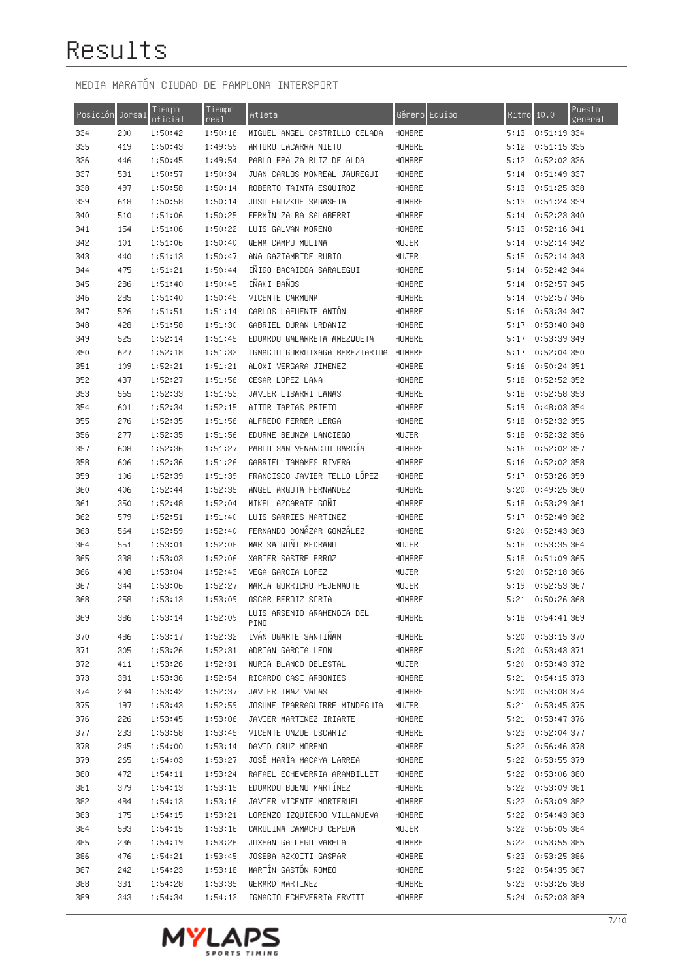| Posición | Dorsal | Tiempo<br>oficial | Tiempo<br>rea <sub>1</sub> | Atleta                             | Equipo<br>Género |      | Puesto<br>Ritmo 10.0<br>general |
|----------|--------|-------------------|----------------------------|------------------------------------|------------------|------|---------------------------------|
| 334      | 200    | 1:50:42           | 1:50:16                    | MIGUEL ANGEL CASTRILLO CELADA      | HOMBRE           | 5:13 | 0:51:19 334                     |
| 335      | 419    | 1:50:43           | 1:49:59                    | ARTURO LACARRA NIETO               | HOMBRE           | 5:12 | 0:51:15 335                     |
| 336      | 446    | 1:50:45           | 1:49:54                    | PABLO EPALZA RUIZ DE ALDA          | HOMBRE           | 5:12 | 0:52:02 336                     |
| 337      | 531    | 1:50:57           | 1:50:34                    | JUAN CARLOS MONREAL JAUREGUI       | HOMBRE           | 5:14 | 0:51:49 337                     |
| 338      | 497    | 1:50:58           | 1:50:14                    | ROBERTO TAINTA ESQUIROZ            | HOMBRE           | 5:13 | 0:51:25 338                     |
| 339      | 618    | 1:50:58           | 1:50:14                    | JOSU EGOZKUE SAGASETA              | HOMBRE           | 5:13 | 0:51:24 339                     |
| 340      | 510    | 1:51:06           | 1:50:25                    | FERMÍN ZALBA SALABERRI             | HOMBRE           | 5:14 | 0:52:23 340                     |
| 341      | 154    | 1:51:06           | 1:50:22                    | LUIS GALVAN MORENO                 | HOMBRE           | 5:13 | 0:52:16 341                     |
| 342      | 101    | 1:51:06           | 1:50:40                    | GEMA CAMPO MOLINA                  | MUJER            | 5:14 | 0:52:14 342                     |
| 343      | 440    | 1:51:13           | 1:50:47                    | ANA GAZTAMBIDE RUBIO               | MUJER            | 5:15 | 0:52:14 343                     |
| 344      | 475    | 1:51:21           | 1:50:44                    | INIGO BACAICOA SARALEGUI           | HOMBRE           | 5:14 | 0:52:42 344                     |
| 345      | 286    | 1:51:40           | 1:50:45                    | IÑAKI BAÑOS                        | HOMBRE           | 5:14 | 0:52:57 345                     |
| 346      | 285    | 1:51:40           | 1:50:45                    | VICENTE CARMONA                    | HOMBRE           | 5:14 | 0:52:57 346                     |
| 347      | 526    | 1:51:51           | 1:51:14                    | CARLOS LAFUENTE ANTON              | HOMBRE           | 5:16 | 0:53:34 347                     |
| 348      | 428    | 1:51:58           | 1:51:30                    | GABRIEL DURAN URDANIZ              | HOMBRE           | 5:17 | 0:53:40 348                     |
| 349      | 525    | 1:52:14           | 1:51:45                    | EDUARDO GALARRETA AMEZQUETA        | HOMBRE           | 5:17 | 0:53:39 349                     |
| 350      | 627    | 1:52:18           | 1:51:33                    | IGNACIO GURRUTXAGA BEREZIARTUA     | HOMBRE           | 5:17 | 0:52:04 350                     |
| 351      | 109    | 1:52:21           | 1:51:21                    | ALOXI VERGARA JIMENEZ              | HOMBRE           | 5:16 | 0:50:24 351                     |
| 352      | 437    | 1:52:27           | 1:51:56                    | CESAR LOPEZ LANA                   | HOMBRE           | 5:18 | 0:52:52 352                     |
| 353      | 565    | 1:52:33           | 1:51:53                    | JAVIER LISARRI LANAS               | HOMBRE           | 5:18 | 0:52:58 353                     |
| 354      | 601    | 1:52:34           | 1:52:15                    | AITOR TAPIAS PRIETO                | HOMBRE           | 5:19 | 0:48:03 354                     |
| 355      | 276    | 1:52:35           | 1:51:56                    | ALFREDO FERRER LERGA               | HOMBRE           | 5:18 | 0:52:32 355                     |
| 356      | 277    | 1:52:35           | 1:51:56                    | EDURNE BEUNZA LANCIEGO             | MUJER            | 5:18 | 0:52:32 356                     |
| 357      | 608    | 1:52:36           | 1:51:27                    | PABLO SAN VENANCIO GARCIA          | HOMBRE           | 5:16 | 0:52:02 357                     |
| 358      | 606    | 1:52:36           | 1:51:26                    | GABRIEL TAMAMES RIVERA             | HOMBRE           | 5:16 | 0:52:02 358                     |
| 359      | 106    | 1:52:39           | 1:51:39                    | FRANCISCO JAVIER TELLO LOPEZ       | HOMBRE           | 5:17 | 0:53:26 359                     |
| 360      | 406    | 1:52:44           | 1:52:35                    | ANGEL ARGOTA FERNANDEZ             | HOMBRE           | 5:20 | 0:49:25 360                     |
| 361      | 350    | 1:52:48           | 1:52:04                    | MIKEL AZCARATE GOÑI                | HOMBRE           | 5:18 | 0:53:29 361                     |
| 362      | 579    | 1:52:51           | 1:51:40                    | LUIS SARRIES MARTINEZ              | HOMBRE           | 5:17 | 0:52:49 362                     |
| 363      | 564    | 1:52:59           | 1:52:40                    | FERNANDO DONAZAR GONZALEZ          | HOMBRE           | 5:20 | 0:52:43 363                     |
| 364      | 551    | 1:53:01           | 1:52:08                    | MARISA GOÑI MEDRANO                | MUJER            | 5:18 | 0:53:35 364                     |
| 365      | 338    | 1:53:03           | 1:52:06                    | XABIER SASTRE ERROZ                | HOMBRE           | 5:18 | 0:51:09 365                     |
| 366      | 408    | 1:53:04           | 1:52:43                    | VEGA GARCIA LOPEZ                  | MUJER            | 5:20 | 0:52:18366                      |
| 367      | 344    | 1:53:06           | 1:52:27                    | MARIA GORRICHO PEJENAUTE           | MUJER            | 5:19 | 0:52:53 367                     |
| 368      | 258    | 1:53:13           | 1:53:09                    | OSCAR BEROIZ SORIA                 | HOMBRE           | 5:21 | 0:50:26 368                     |
| 369      | 386    | 1:53:14           | 1:52:09                    | LUIS ARSENIO ARAMENDIA DEL<br>PINO | HOMBRE           | 5:18 | 0:54:41 369                     |
| 370      | 486    | 1:53:17           | 1:52:32                    | IVÁN UGARTE SANTIÑAN               | HOMBRE           |      | 5:20 0:53:15 370                |
| 371      | 305    | 1:53:26           | 1:52:31                    | ADRIAN GARCIA LEON                 | HOMBRE           |      | 5:20 0:53:43 371                |
| 372      | 411    | 1:53:26           | 1:52:31                    | NURIA BLANCO DELESTAL              | MUJER            |      | 5:20 0:53:43 372                |
| 373      | 381    | 1:53:36           | 1:52:54                    | RICARDO CASI ARBONIES              | HOMBRE           |      | 5:21 0:54:15 373                |
| 374      | 234    | 1:53:42           | 1:52:37                    | JAVIER IMAZ VACAS                  | HOMBRE           |      | 5:20 0:53:08 374                |
| 375      | 197    | 1:53:43           | 1:52:59                    | JOSUNE IPARRAGUIRRE MINDEGUIA      | MUJER            |      | 5:21 0:53:45 375                |
| 376      | 226    | 1:53:45           | 1:53:06                    | JAVIER MARTINEZ IRIARTE            | HOMBRE           |      | 5:21 0:53:47 376                |
| 377      | 233    | 1:53:58           | 1:53:45                    | VICENTE UNZUE OSCARIZ              | HOMBRE           |      | 5:23 0:52:04 377                |
| 378      | 245    | 1:54:00           | 1:53:14                    | DAVID CRUZ MORENO                  | HOMBRE           |      | 5:22 0:56:46 378                |
| 379      | 265    | 1:54:03           | 1:53:27                    | JOSÉ MARÍA MACAYA LARREA           | HOMBRE           |      | 5:22 0:53:55 379                |
| 380      | 472    | 1:54:11           | 1:53:24                    | RAFAEL ECHEVERRIA ARAMBILLET       | HOMBRE           |      | 5:22 0:53:06 380                |
| 381      | 379    | 1:54:13           | 1:53:15                    | EDUARDO BUENO MARTÍNEZ             | HOMBRE           |      | 5:22 0:53:09 381                |
| 382      | 484    | 1:54:13           | 1:53:16                    | JAVIER VICENTE MORTERUEL           | HOMBRE           |      | 5:22 0:53:09 382                |
| 383      | 175    | 1:54:15           | 1:53:21                    | LORENZO IZQUIERDO VILLANUEVA       | HOMBRE           |      | 5:22 0:54:43 383                |
| 384      | 593    | 1:54:15           | 1:53:16                    | CAROLINA CAMACHO CEPEDA            | MUJER            |      | 5:22 0:56:05 384                |
| 385      | 236    | 1:54:19           | 1:53:26                    | JOXEAN GALLEGO VARELA              | HOMBRE           |      | 5:22 0:53:55 385                |
| 386      | 476    | 1:54:21           | 1:53:45                    | JOSEBA AZKOITI GASPAR              | HOMBRE           |      | 5:23 0:53:25 386                |
| 387      | 242    | 1:54:23           | 1:53:18                    | MARTÍN GASTÓN ROMEO                | HOMBRE           |      | 5:22 0:54:35 387                |
| 388      | 331    | 1:54:28           | 1:53:35                    | GERARD MARTINEZ                    | HOMBRE           |      | 5:23 0:53:26 388                |
| 389      | 343    | 1:54:34           | 1:54:13                    | IGNACIO ECHEVERRIA ERVITI          | HOMBRE           |      | 5:24 0:52:03 389                |

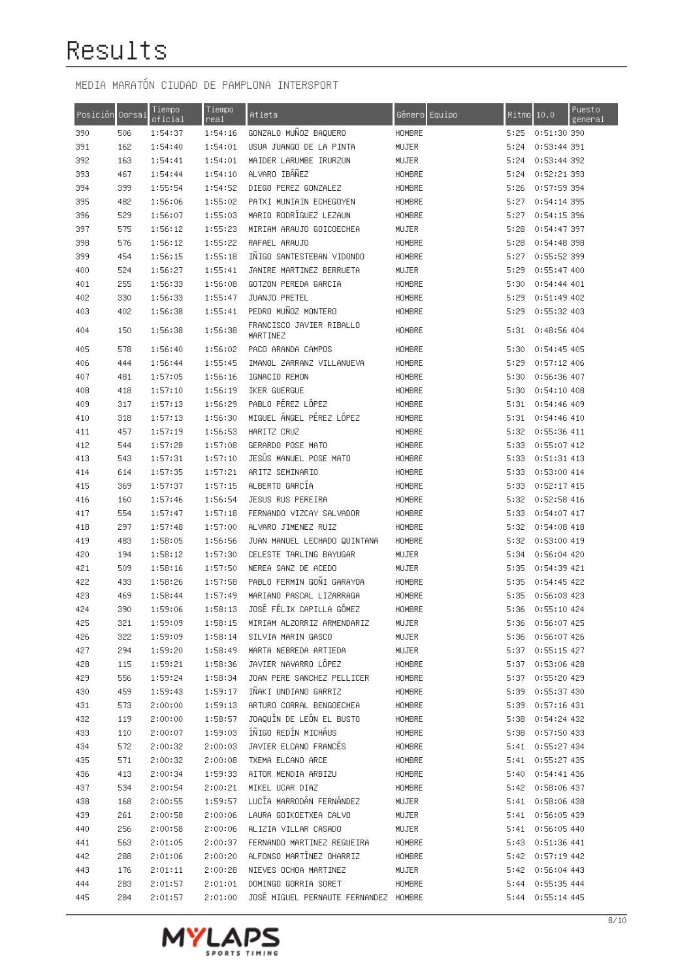| Posición Dorsal |     | Tiempo<br>oficial | Tiempo<br>real | Atleta                                | Género Equipo | Ritmo | 10.0             | Puesto<br>general |
|-----------------|-----|-------------------|----------------|---------------------------------------|---------------|-------|------------------|-------------------|
| 390             | 506 | 1:54:37           | 1:54:16        | GONZALO MUÑOZ BAQUERO                 | HOMBRE        | 5:25  | 0:51:30 390      |                   |
| 391             | 162 | 1:54:40           | 1:54:01        | USUA JUANGO DE LA PINTA               | MUJER         | 5:24  | 0:53:44 391      |                   |
| 392             | 163 | 1:54:41           | 1:54:01        | MAIDER LARUMBE IRURZUN                | MUJER         | 5:24  | 0:53:44 392      |                   |
| 393             | 467 | 1:54:44           | 1:54:10        | ALVARO IBÁÑEZ                         | HOMBRE        | 5:24  | 0:52:21 393      |                   |
| 394             | 399 | 1:55:54           | 1:54:52        | DIEGO PEREZ GONZALEZ                  | <b>HOMBRE</b> | 5:26  | 0:57:59 394      |                   |
| 395             | 482 | 1:56:06           | 1:55:02        | PATXI MUNIAIN ECHEGOYEN               | HOMBRE        | 5:27  | 0:54:14 395      |                   |
| 396             | 529 | 1:56:07           | 1:55:03        | MARIO RODRIGUEZ LEZAUN                | HOMBRE        | 5:27  | 0:54:15 396      |                   |
| 397             | 575 | 1:56:12           | 1:55:23        | MIRIAM ARAUJO GOICOECHEA              | MUJER         | 5:28  | 0:54:47 397      |                   |
| 398             | 576 | 1:56:12           | 1:55:22        | RAFAEL ARAUJO                         | HOMBRE        | 5:28  | 0:54:48 398      |                   |
| 399             | 454 | 1:56:15           | 1:55:18        | INIGO SANTESTEBAN VIDONDO             | HOMBRE        | 5:27  | 0:55:52 399      |                   |
| 400             | 524 | 1:56:27           | 1:55:41        | JANIRE MARTINEZ BERRUETA              | MUJER         | 5:29  | 0:55:47 400      |                   |
| 401             | 255 | 1:56:33           | 1:56:08        | GOTZON PEREDA GARCIA                  | HOMBRE        | 5:30  | 0:54:44 401      |                   |
| 402             | 330 | 1:56:33           | 1:55:47        | JUANJO PRETEL                         | HOMBRE        | 5:29  | 0:51:49 402      |                   |
| 403             | 402 | 1:56:38           | 1:55:41        | PEDRO MUÑOZ MONTERO                   | HOMBRE        | 5:29  | 0:55:32 403      |                   |
| 404             | 150 | 1:56:38           | 1:56:38        | FRANCISCO JAVIER RIBALLO<br>MARTINEZ  | HOMBRE        | 5:31  | 0:48:56 404      |                   |
| 405             | 578 | 1:56:40           | 1:56:02        | PACO ARANDA CAMPOS                    | HOMBRE        | 5:30  | 0:54:45 405      |                   |
| 406             | 444 | 1:56:44           | 1:55:45        | IMANOL ZARRANZ VILLANUEVA             | HOMBRE        | 5:29  | $0:57:12$ 406    |                   |
| 407             | 481 | 1:57:05           | 1:56:16        | IGNACIO REMON                         | <b>HOMBRE</b> | 5:30  | 0:56:36 407      |                   |
| 408             | 418 | 1:57:10           | 1:56:19        | IKER GUERGUE                          | HOMBRE        | 5:30  | 0:54:10 408      |                   |
| 409             | 317 | 1:57:13           | 1:56:29        | PABLO PÉREZ LÓPEZ                     | HOMBRE        | 5:31  | 0:54:46 409      |                   |
| 410             | 318 | 1:57:13           | 1:56:30        | MIGUEL ÁNGEL PÉREZ LÓPEZ              | HOMBRE        | 5:31  | 0:54:46 410      |                   |
| 411             | 457 | 1:57:19           | 1:56:53        | HARITZ CRUZ                           | HOMBRE        | 5:32  | 0:55:36 411      |                   |
| 412             | 544 | 1:57:28           | 1:57:08        | GERARDO POSE MATO                     | HOMBRE        | 5:33  | 0:55:07 412      |                   |
| 413             | 543 | 1:57:31           | 1:57:10        | JESUS MANUEL POSE MATO                | HOMBRE        | 5:33  | 0:51:31 413      |                   |
| 414             | 614 | 1:57:35           | 1:57:21        | ARITZ SEMINARIO                       | HOMBRE        | 5:33  | 0:53:00 414      |                   |
| 415             | 369 | 1:57:37           | 1:57:15        | ALBERTO GARCIA                        | HOMBRE        | 5:33  | 0:52:17 415      |                   |
| 416             | 160 | 1:57:46           | 1:56:54        | JESUS RUS PEREIRA                     | HOMBRE        | 5:32  | 0:52:58 416      |                   |
| 417             | 554 | 1:57:47           | 1:57:18        | FERNANDO VIZCAY SALVADOR              | HOMBRE        | 5:33  | 0:54:07 417      |                   |
| 418             | 297 | 1:57:48           | 1:57:00        | ALVARO JIMENEZ RUIZ                   | HOMBRE        | 5:32  | 0:54:08 418      |                   |
| 419             | 483 | 1:58:05           | 1:56:56        | JUAN MANUEL LECHADO QUINTANA          | HOMBRE        | 5:32  | 0:53:00 419      |                   |
| 420             | 194 | 1:58:12           | 1:57:30        | CELESTE TARLING BAYUGAR               | MUJER         | 5:34  | 0:56:04 420      |                   |
| 421             | 509 | 1:58:16           | 1:57:50        | NEREA SANZ DE ACEDO                   | MUJER         | 5:35  | 0:54:39 421      |                   |
| 422             | 433 | 1:58:26           | 1:57:58        | PABLO FERMIN GONI GARAYOA             | HOMBRE        | 5:35  | 0:54:45 422      |                   |
| 423             | 469 | 1:58:44           | 1:57:49        | MARIANO PASCAL LIZARRAGA              | HOMBRE        | 5:35  | 0:56:03 423      |                   |
| 424             | 390 | 1:59:06           | 1:58:13        | JOSÉ FÉLIX CAPILLA GÓMEZ              | HOMBRE        | 5:36  | 0:55:10 424      |                   |
| 425             | 321 | 1:59:09           | 1:58:15        | MIRIAM ALZORRIZ ARMENDARIZ            | MUJER         |       | 5:36 0:56:07 425 |                   |
| 426             | 322 | 1:59:09           | 1:58:14        | SILVIA MARIN GASCO                    | MUJER         |       | 5:36 0:56:07 426 |                   |
| 427             | 294 | 1:59:20           | 1:58:49        | MARTA NEBREDA ARTIEDA                 | MUJER         | 5:37  | 0:55:15 427      |                   |
| 428             | 115 | 1:59:21           | 1:58:36        | JAVIER NAVARRO LOPEZ                  | HOMBRE        | 5:37  | 0:53:06 428      |                   |
| 429             | 556 | 1:59:24           | 1:58:34        | JOAN PERE SANCHEZ PELLICER            | <b>HOMBRE</b> | 5:37  | 0:55:20 429      |                   |
| 430             | 459 | 1:59:43           | 1:59:17        | INAKI UNDIANO GARRIZ                  | HOMBRE        | 5:39  | 0:55:37 430      |                   |
| 431             | 573 | 2:00:00           | 1:59:13        | ARTURO CORRAL BENGOECHEA              | HOMBRE        | 5:39  | 0:57:16431       |                   |
| 432             | 119 | 2:00:00           | 1:58:57        | JOAQUÍN DE LEÓN EL BUSTO              | HOMBRE        | 5:38  | 0:54:24 432      |                   |
| 433             | 110 | 2:00:07           | 1:59:03        | ÍÑIGO REDÍN MICHÁUS                   | HOMBRE        | 5:38  | 0:57:50 433      |                   |
| 434             | 572 | 2:00:32           | 2:00:03        | JAVIER ELCANO FRANCÉS                 | HOMBRE        |       | 5:41 0:55:27 434 |                   |
| 435             | 571 | 2:00:32           | 2:00:08        | TXEMA ELCANO ARCE                     | HOMBRE        |       | 5:41 0:55:27 435 |                   |
| 436             | 413 | 2:00:34           | 1:59:33        | AITOR MENDIA ARBIZU                   | HOMBRE        |       | 5:40 0:54:41 436 |                   |
| 437             | 534 | 2:00:54           | 2:00:21        | MIKEL UCAR DIAZ                       | HOMBRE        |       | 5:42 0:58:06 437 |                   |
| 438             | 168 | 2:00:55           | 1:59:57        | LUCÍA MARRODÁN FERNÁNDEZ              | MUJER         |       | 5:41 0:58:06 438 |                   |
| 439             | 261 | 2:00:58           | 2:00:06        | LAURA GOIKOETXEA CALVO                | MUJER         |       | 5:41 0:56:05 439 |                   |
| 440             | 256 | 2:00:58           | 2:00:06        | ALIZIA VILLAR CASADO                  | MUJER         |       | 5:41 0:56:05 440 |                   |
| 441             | 563 | 2:01:05           | 2:00:37        | FERNANDO MARTINEZ REGUEIRA            | HOMBRE        | 5:43  | 0:51:36 441      |                   |
| 442             | 288 | 2:01:06           | 2:00:20        | ALFONSO MARTINEZ OHARRIZ              | HOMBRE        |       | 5:42 0:57:19 442 |                   |
| 443             | 176 | 2:01:11           | 2:00:28        | NIEVES OCHOA MARTINEZ                 | MUJER         |       | 5:42 0:56:04 443 |                   |
| 444             | 283 | 2:01:57           | 2:01:01        | DOMINGO GORRIA SORET                  | HOMBRE        |       | 5:44 0:55:35 444 |                   |
| 445             | 284 | 2:01:57           | 2:01:00        | JOSÉ MIGUEL PERNAUTE FERNANDEZ HOMBRE |               |       | 5:44 0:55:14 445 |                   |

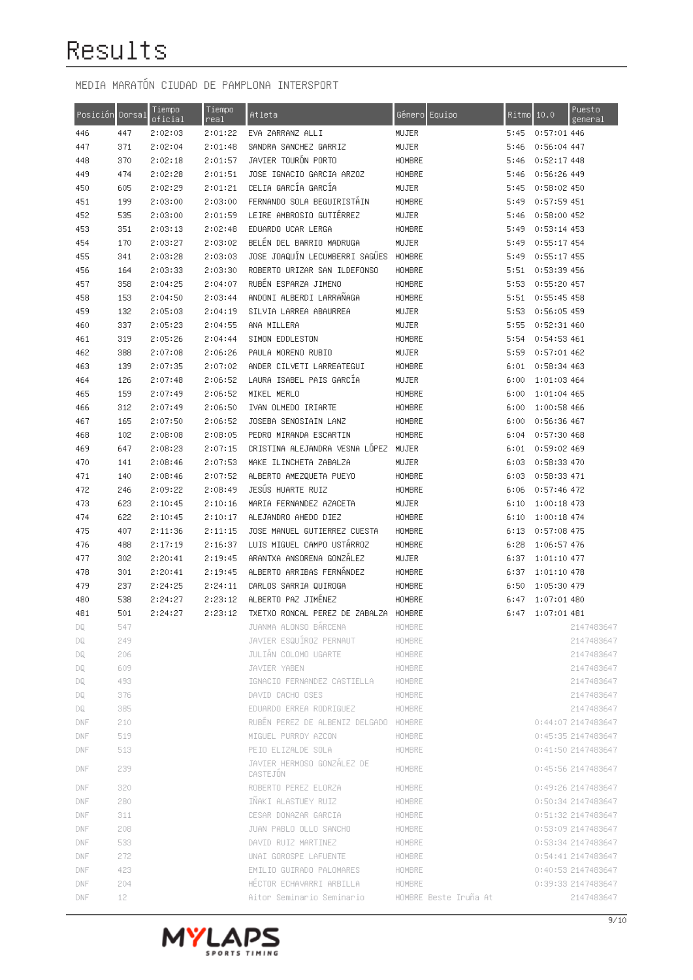| Posición Dorsal |     | Tiempo<br>oficial | Tiempo<br>real | Atleta                                 | Género Equipo         |      | Ritmo  10.0   | Puesto<br>general  |
|-----------------|-----|-------------------|----------------|----------------------------------------|-----------------------|------|---------------|--------------------|
| 446             | 447 | 2:02:03           | 2:01:22        | EVA ZARRANZ ALLI                       | MUJER                 | 5:45 | 0:57:01 446   |                    |
| 447             | 371 | 2:02:04           | 2:01:48        | SANDRA SANCHEZ GARRIZ                  | MUJER                 | 5:46 | 0:56:04 447   |                    |
| 448             | 370 | 2:02:18           | 2:01:57        | JAVIER TOURON PORTO                    | HOMBRE                | 5:46 | 0:52:17 448   |                    |
| 449             | 474 | 2:02:28           | 2:01:51        | JOSE IGNACIO GARCIA ARZOZ              | HOMBRE                | 5:46 | 0:56:26 449   |                    |
| 450             | 605 | 2:02:29           | 2:01:21        | CELIA GARCÍA GARCÍA                    | MUJER                 | 5:45 | 0:58:02 450   |                    |
| 451             | 199 | 2:03:00           | 2:03:00        | FERNANDO SOLA BEGUIRISTAIN             | HOMBRE                | 5:49 | 0:57:59 451   |                    |
| 452             | 535 | 2:03:00           | 2:01:59        | LEIRE AMBROSIO GUTIERREZ               | MUJER                 | 5:46 | 0:58:00 452   |                    |
| 453             | 351 | 2:03:13           | 2:02:48        | EDUARDO UCAR LERGA                     | HOMBRE                | 5:49 | $0:53:14$ 453 |                    |
| 454             | 170 | 2:03:27           | 2:03:02        | BELEN DEL BARRIO MADRUGA               | MUJER                 | 5:49 | 0:55:17454    |                    |
| 455             | 341 | 2:03:28           | 2:03:03        | JOSE JOAQUÍN LECUMBERRI SAGÜES         | HOMBRE                | 5:49 | 0:55:17 455   |                    |
| 456             | 164 | 2:03:33           | 2:03:30        | ROBERTO URIZAR SAN ILDEFONSO           | HOMBRE                | 5:51 | 0:53:39 456   |                    |
| 457             | 358 | 2:04:25           | 2:04:07        | RUBEN ESPARZA JIMENO                   | HOMBRE                | 5:53 | 0:55:20 457   |                    |
| 458             | 153 | 2:04:50           | 2:03:44        | ANDONI ALBERDI LARRAÑAGA               | HOMBRE                | 5:51 | 0:55:45 458   |                    |
| 459             | 132 | 2:05:03           | 2:04:19        | SILVIA LARREA ABAURREA                 | MUJER                 | 5:53 | 0:56:05 459   |                    |
| 460             | 337 | 2:05:23           | 2:04:55        | ANA MILLERA                            | MUJER                 | 5:55 | 0:52:31 460   |                    |
| 461             | 319 | 2:05:26           | 2:04:44        | SIMON EDDLESTON                        | HOMBRE                | 5:54 | 0:54:53.461   |                    |
| 462             | 388 | 2:07:08           | 2:06:26        | PAULA MORENO RUBIO                     | MUJER                 | 5:59 | 0:57:01 462   |                    |
| 463             | 139 | 2:07:35           | 2:07:02        | ANDER CILVETI LARREATEGUI              | HOMBRE                | 6:01 | 0:58:34 463   |                    |
| 464             | 126 | 2:07:48           | 2:06:52        | LAURA ISABEL PAIS GARCIA               | MUJER                 | 6:00 | 1:01:03 464   |                    |
| 465             | 159 | 2:07:49           | 2:06:52        | MIKEL MERLO                            | HOMBRE                | 6:00 | 1:01:04 465   |                    |
| 466             | 312 | 2:07:49           | 2:06:50        | IVAN OLMEDO IRIARTE                    | HOMBRE                | 6:00 | 1:00:58 466   |                    |
| 467             | 165 | 2:07:50           | 2:06:52        | JOSEBA SENOSIAIN LANZ                  | HOMBRE                | 6:00 | 0:56:36 467   |                    |
| 468             | 102 | 2:08:08           | 2:08:05        | PEDRO MIRANDA ESCARTIN                 | HOMBRE                | 6:04 | 0:57:30468    |                    |
| 469             | 647 | 2:08:23           | 2:07:15        | CRISTINA ALEJANDRA VESNA LOPEZ         | MUJER                 | 6:01 | 0:59:02 469   |                    |
| 470             | 141 | 2:08:46           | 2:07:53        | MAKE ILINCHETA ZABALZA                 | MUJER                 | 6:03 | 0:58:33 470   |                    |
| 471             | 140 | 2:08:46           | 2:07:52        | ALBERTO AMEZQUETA PUEYO                | HOMBRE                | 6:03 | 0:58:33 471   |                    |
| 472             | 246 | 2:09:22           | 2:08:49        | JESÚS HUARTE RUIZ                      | HOMBRE                | 6:06 | 0:57:46 472   |                    |
| 473             | 623 | 2:10:45           | 2:10:16        | MARIA FERNANDEZ AZACETA                | MUJER                 | 6:10 | 1:00:18 473   |                    |
| 474             | 622 | 2:10:45           | 2:10:17        | ALEJANDRO AHEDO DIEZ                   | HOMBRE                | 6:10 | 1:00:18 474   |                    |
| 475             | 407 | 2:11:36           | 2:11:15        | JOSE MANUEL GUTIERREZ CUESTA           | HOMBRE                | 6:13 | 0:57:08 475   |                    |
| 476             | 488 | 2:17:19           | 2:16:37        | LUIS MIGUEL CAMPO USTARROZ             | HOMBRE                | 6:28 | 1:06:57 476   |                    |
| 477             | 302 | 2:20:41           | 2:19:45        | ARANTXA ANSORENA GONZALEZ              | MUJER                 | 6:37 | 1:01:10 477   |                    |
| 478             | 301 | 2:20:41           | 2:19:45        | ALBERTO ARRIBAS FERNANDEZ              | HOMBRE                | 6:37 | 1:01:10 478   |                    |
| 479             | 237 | 2:24:25           | 2:24:11        | CARLOS SARRIA QUIROGA                  | HOMBRE                | 6:50 | 1:05:30 479   |                    |
| 480             | 538 | 2:24:27           | 2:23:12        | ALBERTO PAZ JIMÉNEZ                    | HOMBRE                | 6:47 | 1:07:01 480   |                    |
| 481             | 501 | 2:24:27           | 2:23:12        | TXETXO RONCAL PEREZ DE ZABALZA HOMBRE  |                       | 6:47 | 1:07:01 481   |                    |
| DQ.             | 547 |                   |                | JUANMA ALONSO BARCENA                  | HOMBRE                |      |               | 2147483647         |
| DQ.             | 249 |                   |                | JAVIER ESQUIROZ PERNAUT                | HOMBRE                |      |               | 2147483647         |
| DQ.             | 206 |                   |                | JULIÁN COLOMO UGARTE                   | HOMBRE                |      |               | 2147483647         |
| DQ.             | 609 |                   |                | JAVIER YABEN                           | HOMBRE                |      |               | 2147483647         |
| DQ.             | 493 |                   |                | IGNACIO FERNANDEZ CASTIELLA            | HOMBRE                |      |               | 2147483647         |
| DQ.             | 376 |                   |                | DAVID CACHO OSES                       | HOMBRE                |      |               | 2147483647         |
| DQ.             | 385 |                   |                | EDUARDO ERREA RODRIGUEZ                | HOMBRE                |      |               | 2147483647         |
| DNF             | 210 |                   |                | RUBEN PEREZ DE ALBENIZ DELGADO HOMBRE  |                       |      |               | 0:44:07 2147483647 |
| DNF             | 519 |                   |                | MIGUEL PURROY AZCON                    | HOMBRE                |      |               | 0:45:35 2147483647 |
| DNF             | 513 |                   |                | PEIO ELIZALDE SOLA                     | HOMBRE                |      |               | 0:41:50 2147483647 |
| DNF             | 239 |                   |                | JAVIER HERMOSO GONZÁLEZ DE<br>CASTEJON | HOMBRE                |      |               | 0:45:56 2147483647 |
| DNF             | 320 |                   |                | ROBERTO PEREZ ELORZA                   | HOMBRE                |      |               | 0:49:26 2147483647 |
| DNF             | 280 |                   |                | INAKI ALASTUEY RUIZ                    | HOMBRE                |      |               | 0:50:34 2147483647 |
| DNF             | 311 |                   |                | CESAR DONAZAR GARCIA                   | HOMBRE                |      |               | 0:51:32 2147483647 |
| DNF             | 208 |                   |                | JUAN PABLO OLLO SANCHO                 | HOMBRE                |      |               | 0:53:09 2147483647 |
| DNF             | 533 |                   |                | DAVID RUIZ MARTINEZ                    | HOMBRE                |      |               | 0:53:34 2147483647 |
| DNF             | 272 |                   |                | UNAI GOROSPE LAFUENTE                  | HOMBRE                |      |               | 0:54:41 2147483647 |
| DNF             | 423 |                   |                | EMILIO GUIRADO PALOMARES               | HOMBRE                |      |               | 0:40:53 2147483647 |
| DNF             | 204 |                   |                | HECTOR ECHAVARRI ARBILLA               | HOMBRE                |      |               | 0:39:33 2147483647 |
| <b>DNF</b>      | 12  |                   |                | Aitor Seminario Seminario              | HOMBRE Beste Iruña At |      |               | 2147483647         |